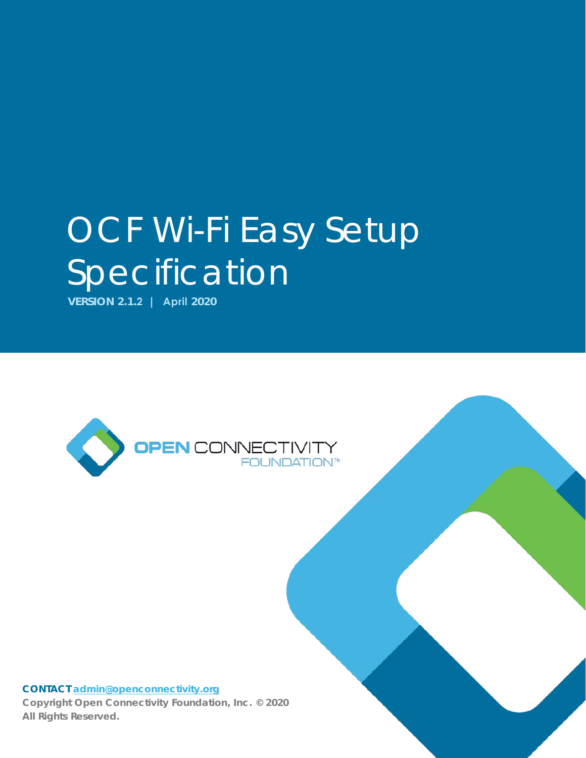# OCF Wi-Fi Easy Setup Specification

**VERSION 2.1.2 | April 2020** 



#### **CONTACT [admin@openconnectivity.org](mailto:admin@openconnectivity.org)**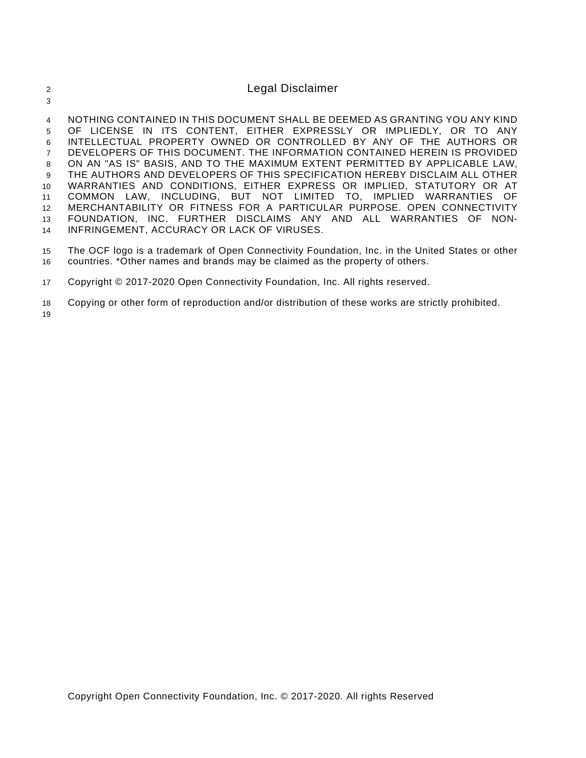| $\overline{4}$  | NOTHING CONTAINED IN THIS DOCUMENT SHALL BE DEEMED AS GRANTING YOU ANY KIND |
|-----------------|-----------------------------------------------------------------------------|
| 5               | OF LICENSE IN ITS CONTENT, EITHER EXPRESSLY OR IMPLIEDLY, OR TO ANY         |
| 6               | INTELLECTUAL PROPERTY OWNED OR CONTROLLED BY ANY OF THE AUTHORS OR          |
| $\overline{7}$  | DEVELOPERS OF THIS DOCUMENT. THE INFORMATION CONTAINED HEREIN IS PROVIDED   |
| 8               | ON AN "AS IS" BASIS, AND TO THE MAXIMUM EXTENT PERMITTED BY APPLICABLE LAW, |
| 9               | THE AUTHORS AND DEVELOPERS OF THIS SPECIFICATION HEREBY DISCLAIM ALL OTHER  |
| 10 <sup>1</sup> | WARRANTIES AND CONDITIONS, EITHER EXPRESS OR IMPLIED, STATUTORY OR AT       |
| 11              | COMMON LAW, INCLUDING, BUT NOT LIMITED TO, IMPLIED WARRANTIES OF            |
| 12              | MERCHANTABILITY OR FITNESS FOR A PARTICULAR PURPOSE. OPEN CONNECTIVITY      |
| 13              | FOUNDATION, INC. FURTHER DISCLAIMS ANY AND ALL WARRANTIES OF NON-           |
| 14              | INFRINGEMENT, ACCURACY OR LACK OF VIRUSES.                                  |

15 The OCF logo is a trademark of Open Connectivity Foundation, Inc. in the United States or other 16 countries. \*Other names and brands may be claimed as the property of others.

17 Copyright © 2017-2020 Open Connectivity Foundation, Inc. All rights reserved.

2 Legal Disclaimer

18 Copying or other form of reproduction and/or distribution of these works are strictly prohibited.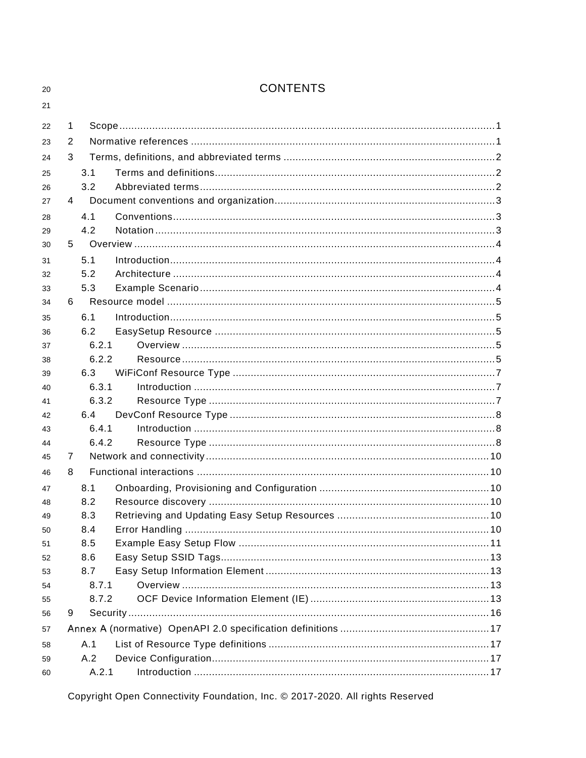| ŋ<br>٠ |  |
|--------|--|
| r      |  |

# **CONTENTS**

| 22 | 1 |       |                  |
|----|---|-------|------------------|
| 23 | 2 |       |                  |
| 24 | 3 |       |                  |
| 25 |   | 3.1   |                  |
| 26 |   | 3.2   |                  |
| 27 | 4 |       |                  |
| 28 |   | 4.1   |                  |
| 29 |   | 4.2   |                  |
| 30 | 5 |       |                  |
| 31 |   | 5.1   |                  |
| 32 |   | 5.2   |                  |
| 33 |   | 5.3   |                  |
| 34 | 6 |       |                  |
| 35 |   | 6.1   | Introduction 155 |
| 36 |   | 6.2   |                  |
| 37 |   | 6.2.1 |                  |
| 38 |   | 6.2.2 |                  |
| 39 |   | 6.3   |                  |
| 40 |   | 6.3.1 |                  |
| 41 |   | 6.3.2 |                  |
| 42 |   | 6.4   |                  |
| 43 |   | 6.4.1 |                  |
| 44 |   | 6.4.2 |                  |
| 45 | 7 |       |                  |
| 46 | 8 |       |                  |
| 47 |   | 8.1   |                  |
| 48 |   | 8.2   |                  |
| 49 |   | 8.3   |                  |
| 50 |   | 8.4   |                  |
| 51 |   | 8.5   |                  |
| 52 |   | 8.6   |                  |
| 53 |   | 8.7   |                  |
| 54 |   | 8.7.1 |                  |
| 55 |   | 8.7.2 |                  |
| 56 | 9 |       |                  |
| 57 |   |       |                  |
| 58 |   | A.1   |                  |
| 59 |   | A.2   |                  |
| 60 |   | A.2.1 |                  |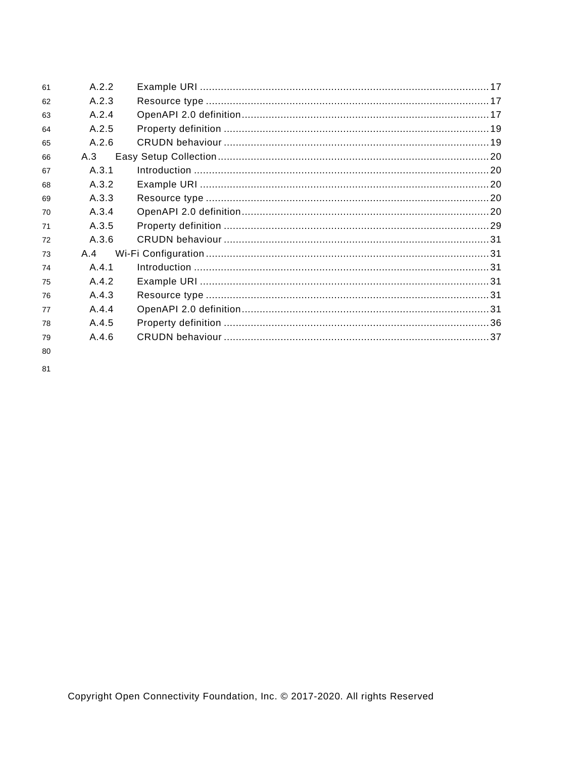| 61 | A.2.2   |  |
|----|---------|--|
| 62 | A.2.3   |  |
| 63 | A.2.4   |  |
| 64 | A 25    |  |
| 65 | A.2.6   |  |
| 66 | A.3     |  |
| 67 | A.3.1   |  |
| 68 | A.3.2   |  |
| 69 | A.3.3   |  |
| 70 | A.3.4   |  |
| 71 | A.3.5   |  |
| 72 | A.3.6   |  |
| 73 | A 4     |  |
| 74 | A.4.1   |  |
| 75 | A 4 2   |  |
| 76 | A.4.3   |  |
| 77 | A.4.4   |  |
| 78 | A.4.5   |  |
| 79 | $A$ 4 6 |  |
| 80 |         |  |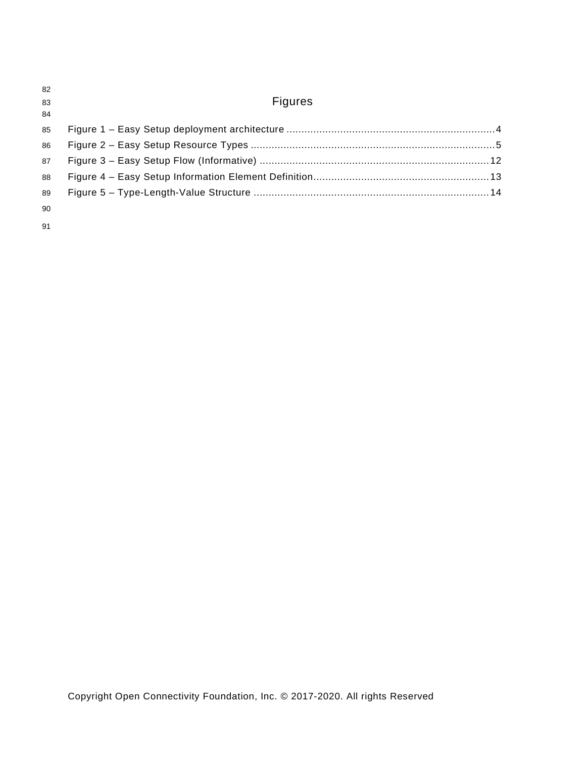| 82<br>83<br>84 | <b>Figures</b> |  |
|----------------|----------------|--|
| 85             |                |  |
| 86             |                |  |
| 87             |                |  |
| 88             |                |  |
| 89             |                |  |
| 90             |                |  |
| 91             |                |  |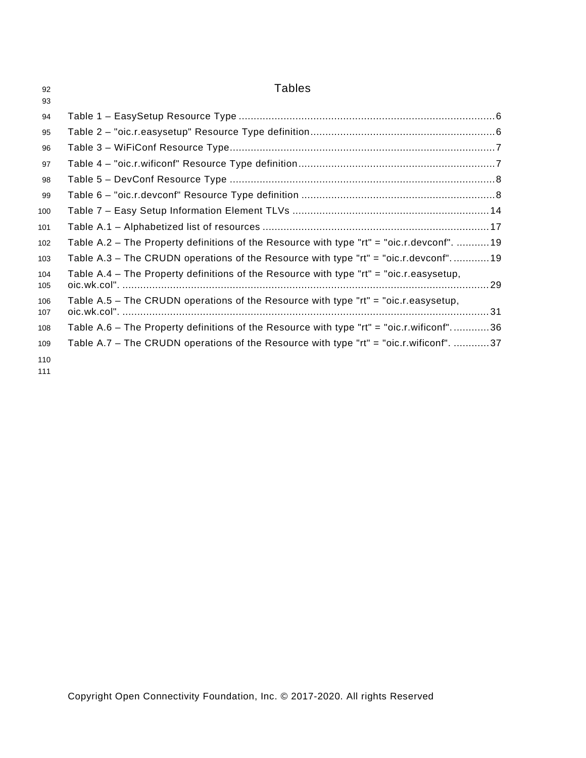| 92         | <b>Tables</b>                                                                              |  |
|------------|--------------------------------------------------------------------------------------------|--|
| 93         |                                                                                            |  |
| 94         |                                                                                            |  |
| 95         |                                                                                            |  |
| 96         |                                                                                            |  |
| 97         |                                                                                            |  |
| 98         |                                                                                            |  |
| 99         |                                                                                            |  |
| 100        |                                                                                            |  |
| 101        |                                                                                            |  |
| 102        | Table A.2 - The Property definitions of the Resource with type "rt" = "oic.r.devconf".  19 |  |
| 103        | Table A.3 - The CRUDN operations of the Resource with type "rt" = "oic.r.devconf" 19       |  |
| 104<br>105 | Table A.4 - The Property definitions of the Resource with type "rt" = "oic.r.easysetup,    |  |
| 106<br>107 | Table A.5 – The CRUDN operations of the Resource with type " $rt$ " = "oic.r.easysetup,    |  |
| 108        | Table A.6 - The Property definitions of the Resource with type "rt" = "oic.r.wificonf"36   |  |
| 109        | Table A.7 – The CRUDN operations of the Resource with type "rt" = "oic.r.wificonf". 37     |  |
| 110        |                                                                                            |  |
| 111        |                                                                                            |  |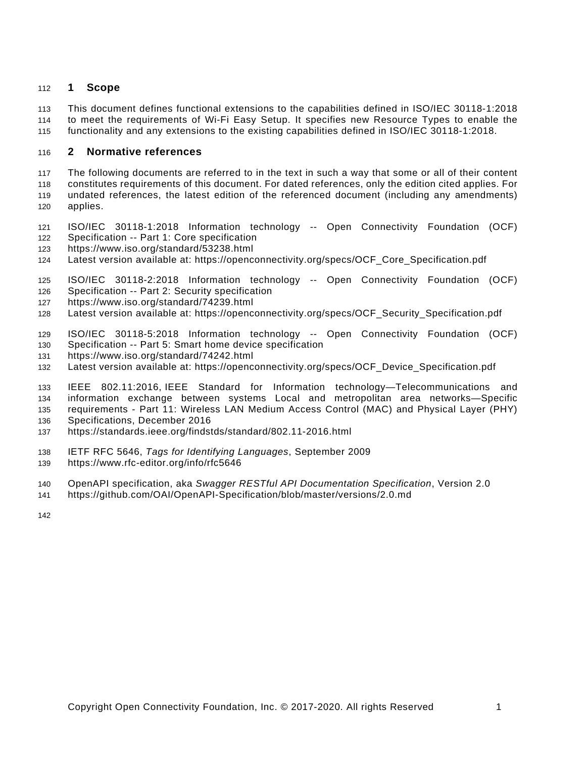#### <span id="page-6-0"></span>**1 Scope**

 This document defines functional extensions to the capabilities defined in [ISO/IEC 30118-1:2018](#page-6-2) to meet the requirements of Wi-Fi Easy Setup. It specifies new Resource Types to enable the functionality and any extensions to the existing capabilities defined in [ISO/IEC 30118-1:2018.](#page-6-2)

#### <span id="page-6-1"></span>**2 Normative references**

 The following documents are referred to in the text in such a way that some or all of their content constitutes requirements of this document. For dated references, only the edition cited applies. For undated references, the latest edition of the referenced document (including any amendments) applies.

<span id="page-6-2"></span> ISO/IEC 30118-1:2018 Information technology -- Open Connectivity Foundation (OCF) Specification -- Part 1: Core specification

- <https://www.iso.org/standard/53238.html>
- Latest version available at: [https://openconnectivity.org/specs/OCF\\_Core\\_Specification.pdf](https://openconnectivity.org/specs/OCF_Core_Specification.pdf)

<span id="page-6-6"></span> ISO/IEC 30118-2:2018 Information technology -- Open Connectivity Foundation (OCF) Specification -- Part 2: Security specification

- <https://www.iso.org/standard/74239.html>
- Latest version available at: [https://openconnectivity.org/specs/OCF\\_Security\\_Specification.pdf](https://openconnectivity.org/specs/OCF_Security_Specification.pdf)
- <span id="page-6-7"></span>ISO/IEC 30118-5:2018 Information technology -- Open Connectivity Foundation (OCF)
- Specification -- Part 5: Smart home device specification
- <https://www.iso.org/standard/74242.html>
- Latest version available at: [https://openconnectivity.org/specs/OCF\\_Device\\_Specification.pdf](https://openconnectivity.org/specs/OCF_Device_Specification.pdf)

<span id="page-6-5"></span> IEEE 802.11:2016, IEEE Standard for Information technology—Telecommunications and information exchange between systems Local and metropolitan area networks—Specific requirements - Part 11: Wireless LAN Medium Access Control (MAC) and Physical Layer (PHY)

- Specifications, December 2016
- <https://standards.ieee.org/findstds/standard/802.11-2016.html>
- <span id="page-6-4"></span>IETF RFC 5646, *Tags for Identifying Languages*, September 2009
- https://www.rfc-editor.org/info/rfc5646
- <span id="page-6-3"></span>OpenAPI specification, aka *Swagger RESTful API Documentation Specification*, Version 2.0
- <https://github.com/OAI/OpenAPI-Specification/blob/master/versions/2.0.md>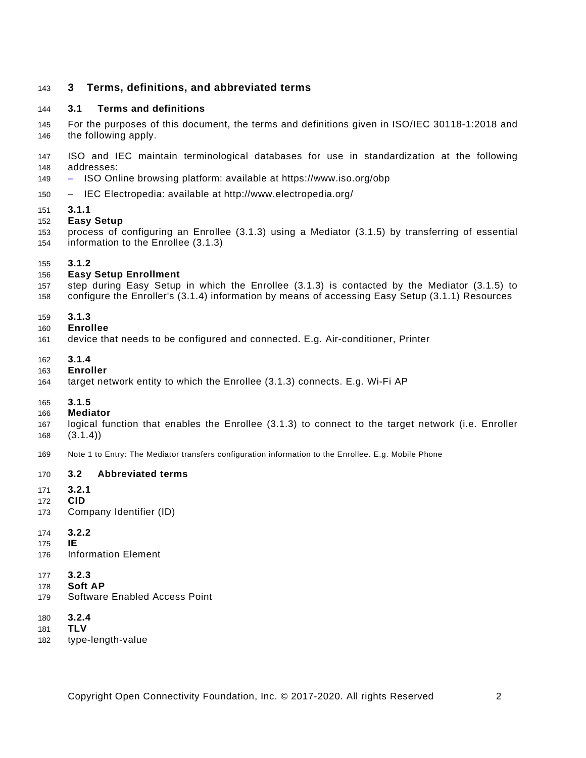# <span id="page-7-0"></span>**3 Terms, definitions, and abbreviated terms**

#### <span id="page-7-1"></span>**3.1 Terms and definitions**

 For the purposes of this document, the terms and definitions given in [ISO/IEC 30118-1:2018](#page-6-2) and the following apply.

 ISO and IEC maintain terminological databases for use in standardization at the following addresses:

- ISO Online browsing platform: available at<https://www.iso.org/obp>
- IEC Electropedia: available at<http://www.electropedia.org/>
- **3.1.1**

#### **Easy Setup**

 process of configuring an Enrollee (3.1.3) using a Mediator (3.1.5) by transferring of essential information to the Enrollee (3.1.3)

#### **3.1.2**

#### **Easy Setup Enrollment**

- step during Easy Setup in which the Enrollee (3.1.3) is contacted by the Mediator (3.1.5) to
- configure the Enroller's (3.1.4) information by means of accessing Easy Setup (3.1.1) Resources

#### **3.1.3**

- **Enrollee**
- device that needs to be configured and connected. E.g. Air-conditioner, Printer
- **3.1.4**
- **Enroller**
- target network entity to which the Enrollee (3.1.3) connects. E.g. Wi-Fi AP
- **3.1.5**
- **Mediator**
- logical function that enables the Enrollee (3.1.3) to connect to the target network (i.e. Enroller (3.1.4))
- Note 1 to Entry: The Mediator transfers configuration information to the Enrollee. E.g. Mobile Phone

#### <span id="page-7-2"></span>**3.2 Abbreviated terms**

- **3.2.1**
- **CID**
- Company Identifier (ID)
- **3.2.2**
- **IE**
- Information Element
- **3.2.3**
- **Soft AP**
- Software Enabled Access Point
- **3.2.4**
- **TLV**
- type-length-value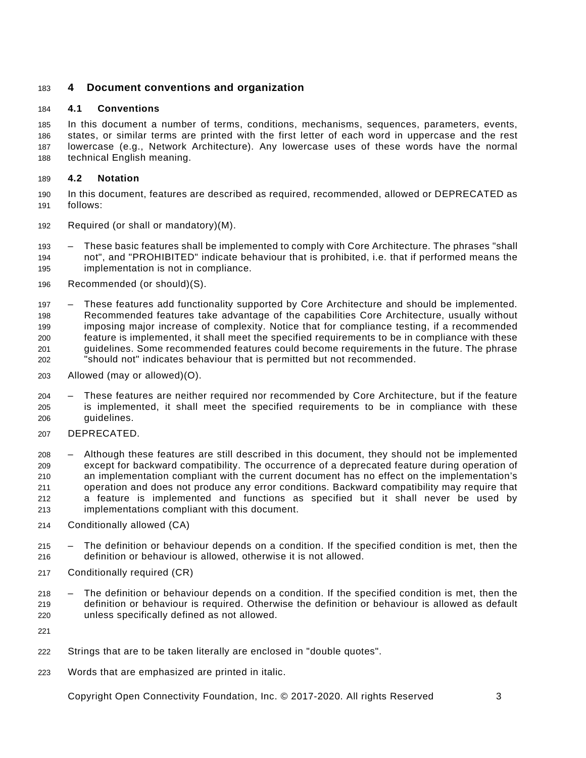# <span id="page-8-0"></span>**4 Document conventions and organization**

#### <span id="page-8-1"></span>**4.1 Conventions**

 In this document a number of terms, conditions, mechanisms, sequences, parameters, events, states, or similar terms are printed with the first letter of each word in uppercase and the rest lowercase (e.g., Network Architecture). Any lowercase uses of these words have the normal technical English meaning.

#### <span id="page-8-2"></span>**4.2 Notation**

 In this document, features are described as required, recommended, allowed or DEPRECATED as follows:

- Required (or shall or mandatory)(M).
- These basic features shall be implemented to comply with Core Architecture. The phrases "shall not", and "PROHIBITED" indicate behaviour that is prohibited, i.e. that if performed means the implementation is not in compliance.
- Recommended (or should)(S).

 – These features add functionality supported by Core Architecture and should be implemented. Recommended features take advantage of the capabilities Core Architecture, usually without imposing major increase of complexity. Notice that for compliance testing, if a recommended feature is implemented, it shall meet the specified requirements to be in compliance with these guidelines. Some recommended features could become requirements in the future. The phrase "should not" indicates behaviour that is permitted but not recommended.

- Allowed (may or allowed)(O).
- These features are neither required nor recommended by Core Architecture, but if the feature is implemented, it shall meet the specified requirements to be in compliance with these guidelines.
- DEPRECATED.

 – Although these features are still described in this document, they should not be implemented except for backward compatibility. The occurrence of a deprecated feature during operation of an implementation compliant with the current document has no effect on the implementation's operation and does not produce any error conditions. Backward compatibility may require that a feature is implemented and functions as specified but it shall never be used by implementations compliant with this document.

- Conditionally allowed (CA)
- The definition or behaviour depends on a condition. If the specified condition is met, then the definition or behaviour is allowed, otherwise it is not allowed.
- Conditionally required (CR)
- The definition or behaviour depends on a condition. If the specified condition is met, then the definition or behaviour is required. Otherwise the definition or behaviour is allowed as default unless specifically defined as not allowed.

- Strings that are to be taken literally are enclosed in "double quotes".
- Words that are emphasized are printed in italic.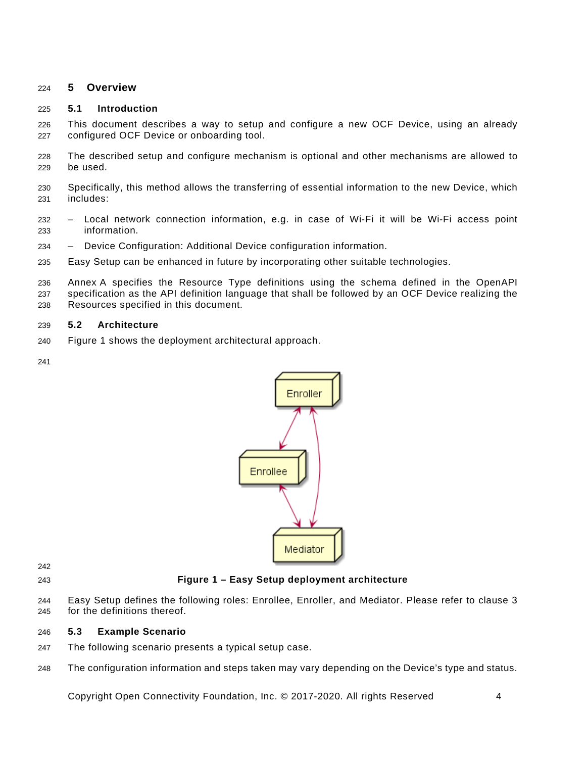#### <span id="page-9-0"></span>**5 Overview**

#### <span id="page-9-1"></span>**5.1 Introduction**

 This document describes a way to setup and configure a new OCF Device, using an already configured OCF Device or onboarding tool.

- The described setup and configure mechanism is optional and other mechanisms are allowed to be used.
- Specifically, this method allows the transferring of essential information to the new Device, which includes:
- Local network connection information, e.g. in case of Wi-Fi it will be Wi-Fi access point information.
- Device Configuration: Additional Device configuration information.
- Easy Setup can be enhanced in future by incorporating other suitable technologies.

 [Annex](#page-22-0) A specifies the Resource Type definitions using the schema defined in the [OpenAPI](#page-6-3)  [specification](#page-6-3) as the API definition language that shall be followed by an OCF Device realizing the Resources specified in this document.

#### <span id="page-9-2"></span>**5.2 Architecture**

- [Figure](#page-9-4) 1 shows the deployment architectural approach.
- 



# <span id="page-9-4"></span>**Figure 1 – Easy Setup deployment architecture**

 Easy Setup defines the following roles: Enrollee, Enroller, and Mediator. Please refer to clause [3](#page-7-0) for the definitions thereof.

#### <span id="page-9-3"></span>**5.3 Example Scenario**

- The following scenario presents a typical setup case.
- The configuration information and steps taken may vary depending on the Device's type and status.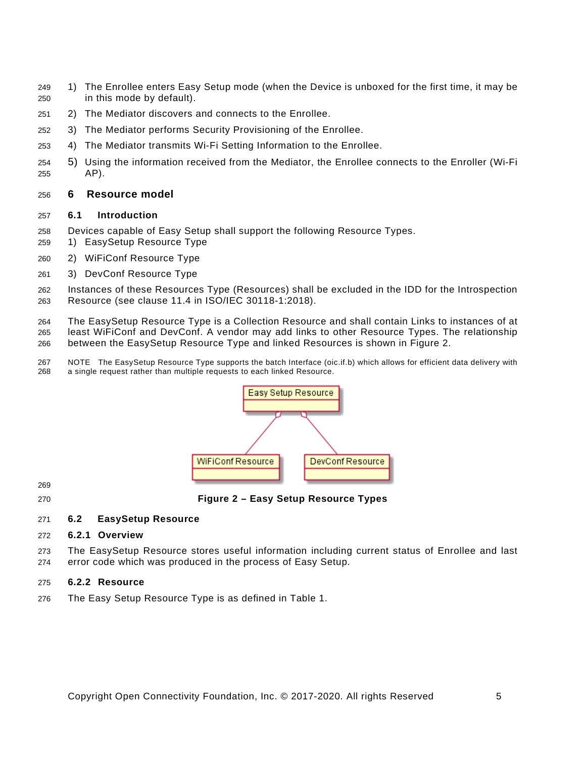- 1) The Enrollee enters Easy Setup mode (when the Device is unboxed for the first time, it may be in this mode by default).
- 2) The Mediator discovers and connects to the Enrollee.
- 3) The Mediator performs Security Provisioning of the Enrollee.
- 4) The Mediator transmits Wi-Fi Setting Information to the Enrollee.
- 5) Using the information received from the Mediator, the Enrollee connects to the Enroller (Wi-Fi AP).

#### <span id="page-10-0"></span>**6 Resource model**

#### <span id="page-10-1"></span>**6.1 Introduction**

- Devices capable of Easy Setup shall support the following Resource Types.
- 1) EasySetup Resource Type
- 2) WiFiConf Resource Type
- 3) DevConf Resource Type
- Instances of these Resources Type (Resources) shall be excluded in the IDD for the Introspection Resource (see clause 11.4 in [ISO/IEC 30118-1:2018\)](#page-6-2).

 The EasySetup Resource Type is a Collection Resource and shall contain Links to instances of at least WiFiConf and DevConf. A vendor may add links to other Resource Types. The relationship between the EasySetup Resource Type and linked Resources is shown in [Figure](#page-10-5) 2.

 NOTE The EasySetup Resource Type supports the batch Interface (oic.if.b) which allows for efficient data delivery with a single request rather than multiple requests to each linked Resource.



<span id="page-10-5"></span>**Figure 2 – Easy Setup Resource Types**

#### <span id="page-10-2"></span>**6.2 EasySetup Resource**

#### <span id="page-10-3"></span>**6.2.1 Overview**

 The EasySetup Resource stores useful information including current status of Enrollee and last error code which was produced in the process of Easy Setup.

#### <span id="page-10-4"></span>**6.2.2 Resource**

The Easy Setup Resource Type is as defined in [Table](#page-11-0) 1.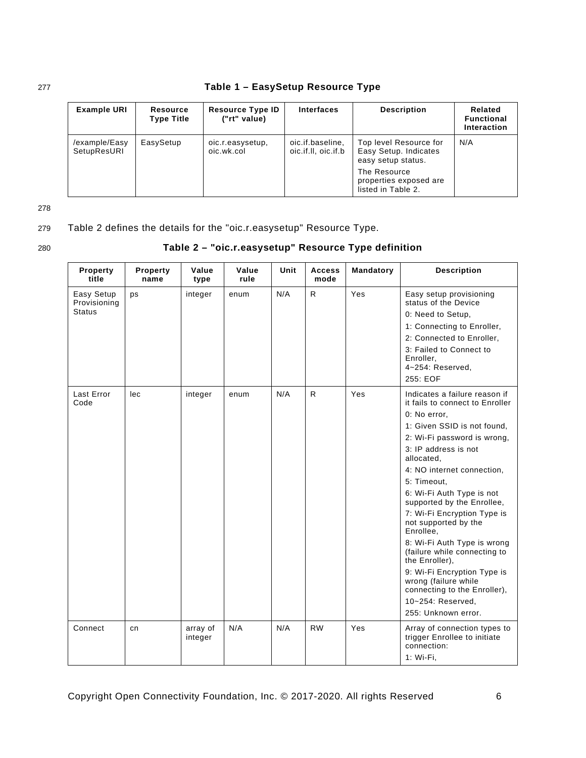<span id="page-11-0"></span>

| <b>Example URI</b>           | Resource<br><b>Type Title</b>               | <b>Resource Type ID</b><br>("rt" value) | <b>Interfaces</b>                       | <b>Description</b>                                                                                                                    | Related<br><b>Functional</b><br>Interaction |  |
|------------------------------|---------------------------------------------|-----------------------------------------|-----------------------------------------|---------------------------------------------------------------------------------------------------------------------------------------|---------------------------------------------|--|
| /example/Easy<br>SetupResURI | EasySetup<br>oic.r.easysetup,<br>oic.wk.col |                                         | oic.if.baseline,<br>oic.if.II, oic.if.b | Top level Resource for<br>Easy Setup. Indicates<br>easy setup status.<br>The Resource<br>properties exposed are<br>listed in Table 2. | N/A                                         |  |

# 277 **Table 1 – EasySetup Resource Type**

278

# 279 [Table](#page-11-1) 2 defines the details for the "oic.r.easysetup" Resource Type.

# 280 **Table 2 – "oic.r.easysetup" Resource Type definition**

<span id="page-11-1"></span>

| <b>Property</b><br>title   | Property<br>name | Value<br>type       | Value<br>rule | Unit | <b>Access</b><br>mode | Mandatory | <b>Description</b>                                                                       |
|----------------------------|------------------|---------------------|---------------|------|-----------------------|-----------|------------------------------------------------------------------------------------------|
| Easy Setup<br>Provisioning | ps               | integer             | enum          | N/A  | R                     | Yes       | Easy setup provisioning<br>status of the Device                                          |
| <b>Status</b>              |                  |                     |               |      |                       |           | 0: Need to Setup,                                                                        |
|                            |                  |                     |               |      |                       |           | 1: Connecting to Enroller,                                                               |
|                            |                  |                     |               |      |                       |           | 2: Connected to Enroller,                                                                |
|                            |                  |                     |               |      |                       |           | 3: Failed to Connect to<br>Enroller,<br>4~254: Reserved,                                 |
|                            |                  |                     |               |      |                       |           | 255: EOF                                                                                 |
| <b>Last Error</b><br>Code  | lec              | integer             | enum          | N/A  | $\mathsf{R}$          | Yes       | Indicates a failure reason if<br>it fails to connect to Enroller                         |
|                            |                  |                     |               |      |                       |           | 0: No error,                                                                             |
|                            |                  |                     |               |      |                       |           | 1: Given SSID is not found,                                                              |
|                            |                  |                     |               |      |                       |           | 2: Wi-Fi password is wrong,                                                              |
|                            |                  |                     |               |      |                       |           | 3: IP address is not<br>allocated,                                                       |
|                            |                  |                     |               |      |                       |           | 4: NO internet connection,                                                               |
|                            |                  |                     |               |      |                       |           | 5: Timeout,                                                                              |
|                            |                  |                     |               |      |                       |           | 6: Wi-Fi Auth Type is not<br>supported by the Enrollee,                                  |
|                            |                  |                     |               |      |                       |           | 7: Wi-Fi Encryption Type is<br>not supported by the<br>Enrollee,                         |
|                            |                  |                     |               |      |                       |           | 8: Wi-Fi Auth Type is wrong<br>(failure while connecting to<br>the Enroller),            |
|                            |                  |                     |               |      |                       |           | 9: Wi-Fi Encryption Type is<br>wrong (failure while<br>connecting to the Enroller),      |
|                            |                  |                     |               |      |                       |           | 10~254: Reserved,                                                                        |
|                            |                  |                     |               |      |                       |           | 255: Unknown error.                                                                      |
| Connect                    | cn               | array of<br>integer | N/A           | N/A  | <b>RW</b>             | Yes       | Array of connection types to<br>trigger Enrollee to initiate<br>connection:<br>1: Wi-Fi, |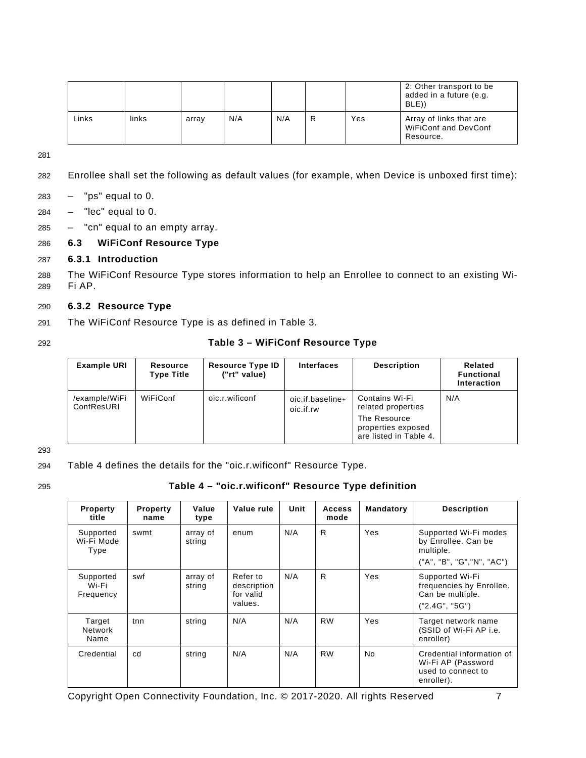|       |       |       |     |     |     | 2: Other transport to be<br>added in a future (e.g.<br>BLE)) |
|-------|-------|-------|-----|-----|-----|--------------------------------------------------------------|
| Links | links | array | N/A | N/A | Yes | Array of links that are<br>WiFiConf and DevConf<br>Resource. |

281

- 282 Enrollee shall set the following as default values (for example, when Device is unboxed first time):
- $283$  "ps" equal to 0.
- $284 "lec" equal to 0.$
- $285$  "cn" equal to an empty array.

#### <span id="page-12-0"></span>286 **6.3 WiFiConf Resource Type**

#### <span id="page-12-1"></span>287 **6.3.1 Introduction**

288 The WiFiConf Resource Type stores information to help an Enrollee to connect to an existing Wi-289 Fi AP.

#### <span id="page-12-2"></span>290 **6.3.2 Resource Type**

- 291 The WiFiConf Resource Type is as defined in [Table](#page-12-3) 3.
- 

#### 292 **Table 3 – WiFiConf Resource Type**

<span id="page-12-3"></span>

| <b>Example URI</b>          | Resource<br><b>Type Title</b> | <b>Resource Type ID</b><br>("rt" value) | <b>Interfaces</b>                   | <b>Description</b>                                                                                   | Related<br><b>Functional</b><br>Interaction |
|-----------------------------|-------------------------------|-----------------------------------------|-------------------------------------|------------------------------------------------------------------------------------------------------|---------------------------------------------|
| /example/WiFi<br>ConfResURI | WiFiConf                      | oic.r.wificonf                          | $oic.$ if.baseline $+$<br>oic.if.rw | Contains Wi-Fi<br>related properties<br>The Resource<br>properties exposed<br>are listed in Table 4. | N/A                                         |

293

294 [Table](#page-12-4) 4 defines the details for the "oic.r.wificonf" Resource Type.

#### 295 **Table 4 – "oic.r.wificonf" Resource Type definition**

<span id="page-12-4"></span>

| <b>Property</b><br>title        | <b>Property</b><br>name | Value<br>type      | Value rule                                      | Unit | <b>Access</b><br>mode | Mandatory | <b>Description</b>                                                                      |
|---------------------------------|-------------------------|--------------------|-------------------------------------------------|------|-----------------------|-----------|-----------------------------------------------------------------------------------------|
| Supported<br>Wi-Fi Mode<br>Type | swmt                    | array of<br>string | enum                                            | N/A  | R                     | Yes       | Supported Wi-Fi modes<br>by Enrollee. Can be<br>multiple.<br>("A", "B", "G", "N", "AC") |
| Supported<br>Wi-Fi<br>Frequency | swf                     | array of<br>string | Refer to<br>description<br>for valid<br>values. | N/A  | $\mathsf{R}$          | Yes       | Supported Wi-Fi<br>frequencies by Enrollee.<br>Can be multiple.<br>("2.4G", "5G")       |
| Target<br>Network<br>Name       | tnn                     | string             | N/A                                             | N/A  | <b>RW</b>             | Yes       | Target network name<br>(SSID of Wi-Fi AP i.e.<br>enroller)                              |
| Credential                      | cd                      | string             | N/A                                             | N/A  | <b>RW</b>             | No        | Credential information of<br>Wi-Fi AP (Password<br>used to connect to<br>enroller).     |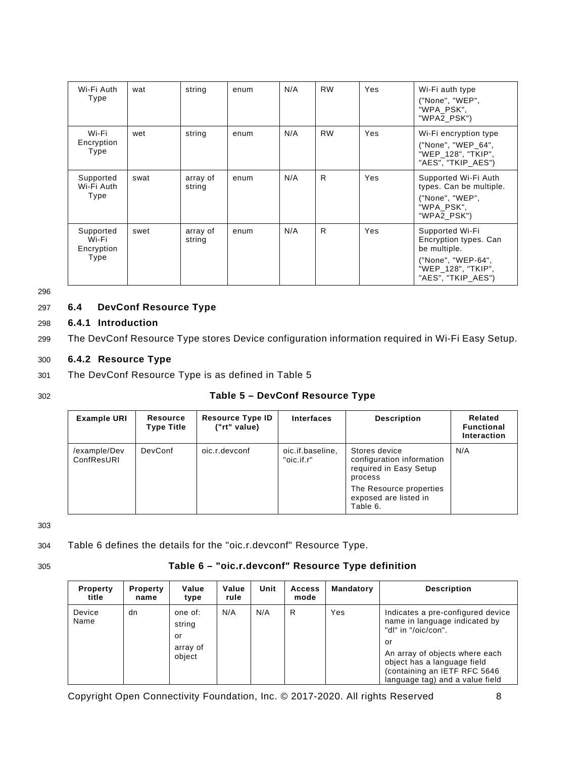| Wi-Fi Auth<br>Type                       | wat  | string             | enum | N/A | <b>RW</b> | Yes | Wi-Fi auth type<br>("None", "WEP",<br>"WPA PSK",<br>"WPA2_PSK")                                                            |
|------------------------------------------|------|--------------------|------|-----|-----------|-----|----------------------------------------------------------------------------------------------------------------------------|
| Wi-Fi<br>Encryption<br>Type              | wet  | string             | enum | N/A | <b>RW</b> | Yes | Wi-Fi encryption type<br>("None", "WEP_64",<br>"WEP 128", "TKIP",<br>"AES", "TKIP AES")                                    |
| Supported<br>Wi-Fi Auth<br>Type          | swat | array of<br>string | enum | N/A | R         | Yes | Supported Wi-Fi Auth<br>types. Can be multiple.<br>("None", "WEP",<br>"WPA PSK",<br>"WPA2_PSK")                            |
| Supported<br>Wi-Fi<br>Encryption<br>Type | swet | array of<br>string | enum | N/A | R         | Yes | Supported Wi-Fi<br>Encryption types. Can<br>be multiple.<br>("None", "WEP-64",<br>"WEP_128", "TKIP",<br>"AES", "TKIP AES") |

296

# <span id="page-13-0"></span>297 **6.4 DevConf Resource Type**

## <span id="page-13-1"></span>298 **6.4.1 Introduction**

299 The DevConf Resource Type stores Device configuration information required in Wi-Fi Easy Setup.

#### <span id="page-13-2"></span>300 **6.4.2 Resource Type**

301 The DevConf Resource Type is as defined in [Table](#page-13-3) 5

## 302 **Table 5 – DevConf Resource Type**

<span id="page-13-3"></span>

| <b>Example URI</b>         | <b>Resource</b><br><b>Type Title</b> | <b>Resource Type ID</b><br>("rt" value) | <b>Interfaces</b>              | <b>Description</b>                                                                                                                              | Related<br><b>Functional</b><br>Interaction |
|----------------------------|--------------------------------------|-----------------------------------------|--------------------------------|-------------------------------------------------------------------------------------------------------------------------------------------------|---------------------------------------------|
| /example/Dev<br>ConfResURI | <b>DevConf</b>                       | oic.r.devconf                           | oic.if.baseline,<br>"oic.if.r" | Stores device<br>configuration information<br>required in Easy Setup<br>process<br>The Resource properties<br>exposed are listed in<br>Table 6. | N/A                                         |

303

304 [Table](#page-13-4) 6 defines the details for the "oic.r.devconf" Resource Type.

# 305 **Table 6 – "oic.r.devconf" Resource Type definition**

<span id="page-13-4"></span>

| <b>Property</b><br>title | <b>Property</b><br>name | Value<br>type                                 | Value<br>rule | Unit | <b>Access</b><br>mode | Mandatory | <b>Description</b>                                                                                                                                                                                                                  |
|--------------------------|-------------------------|-----------------------------------------------|---------------|------|-----------------------|-----------|-------------------------------------------------------------------------------------------------------------------------------------------------------------------------------------------------------------------------------------|
| Device<br>Name           | dn                      | one of:<br>string<br>or<br>array of<br>object | N/A           | N/A  | R                     | Yes       | Indicates a pre-configured device<br>name in language indicated by<br>"dl" in "/oic/con".<br>or<br>An array of objects where each<br>object has a language field<br>(containing an IETF RFC 5646<br>language tag) and a value field |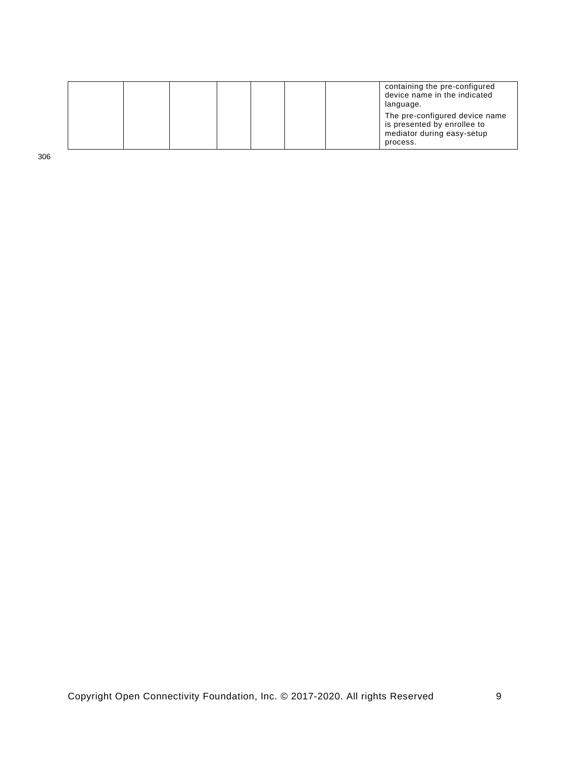|  |  |  |  | containing the pre-configured<br>device name in the indicated<br>language.                              |
|--|--|--|--|---------------------------------------------------------------------------------------------------------|
|  |  |  |  | The pre-configured device name<br>is presented by enrollee to<br>mediator during easy-setup<br>process. |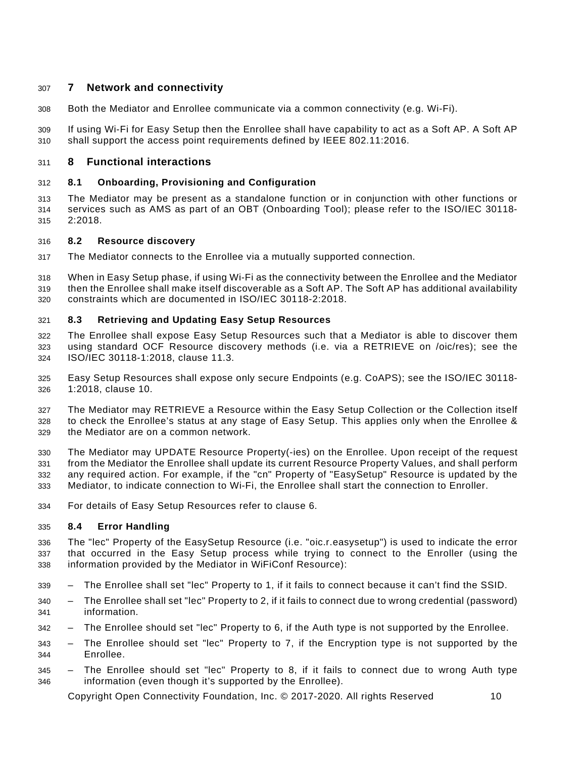# <span id="page-15-0"></span>**7 Network and connectivity**

Both the Mediator and Enrollee communicate via a common connectivity (e.g. Wi-Fi).

 If using Wi-Fi for Easy Setup then the Enrollee shall have capability to act as a Soft AP. A Soft AP shall support the access point requirements defined by [IEEE 802.11:2016.](#page-6-5)

# <span id="page-15-1"></span>**8 Functional interactions**

#### <span id="page-15-2"></span>**8.1 Onboarding, Provisioning and Configuration**

 The Mediator may be present as a standalone function or in conjunction with other functions or services such as AMS as part of an OBT (Onboarding Tool); please refer to the [ISO/IEC 30118-](#page-6-6) [2:2018.](#page-6-6)

#### <span id="page-15-3"></span>**8.2 Resource discovery**

The Mediator connects to the Enrollee via a mutually supported connection.

 When in Easy Setup phase, if using Wi-Fi as the connectivity between the Enrollee and the Mediator then the Enrollee shall make itself discoverable as a Soft AP. The Soft AP has additional availability constraints which are documented in [ISO/IEC 30118-2:2018.](#page-6-6)

#### <span id="page-15-4"></span>**8.3 Retrieving and Updating Easy Setup Resources**

 The Enrollee shall expose Easy Setup Resources such that a Mediator is able to discover them using standard OCF Resource discovery methods (i.e. via a RETRIEVE on /oic/res); see the [ISO/IEC 30118-1:2018,](#page-6-2) clause 11.3.

 Easy Setup Resources shall expose only secure Endpoints (e.g. CoAPS); see the [ISO/IEC 30118-](#page-6-2) [1:2018,](#page-6-2) clause 10.

 The Mediator may RETRIEVE a Resource within the Easy Setup Collection or the Collection itself to check the Enrollee's status at any stage of Easy Setup. This applies only when the Enrollee & the Mediator are on a common network.

 The Mediator may UPDATE Resource Property(-ies) on the Enrollee. Upon receipt of the request from the Mediator the Enrollee shall update its current Resource Property Values, and shall perform any required action. For example, if the "cn" Property of "EasySetup" Resource is updated by the Mediator, to indicate connection to Wi-Fi, the Enrollee shall start the connection to Enroller.

For details of Easy Setup Resources refer to clause [6.](#page-10-0)

#### <span id="page-15-5"></span>**8.4 Error Handling**

 The "lec" Property of the EasySetup Resource (i.e. "oic.r.easysetup") is used to indicate the error that occurred in the Easy Setup process while trying to connect to the Enroller (using the information provided by the Mediator in WiFiConf Resource):

- The Enrollee shall set "lec" Property to 1, if it fails to connect because it can't find the SSID.
- The Enrollee shall set "lec" Property to 2, if it fails to connect due to wrong credential (password) information.
- The Enrollee should set "lec" Property to 6, if the Auth type is not supported by the Enrollee.
- The Enrollee should set "lec" Property to 7, if the Encryption type is not supported by the Enrollee.
- The Enrollee should set "lec" Property to 8, if it fails to connect due to wrong Auth type information (even though it's supported by the Enrollee).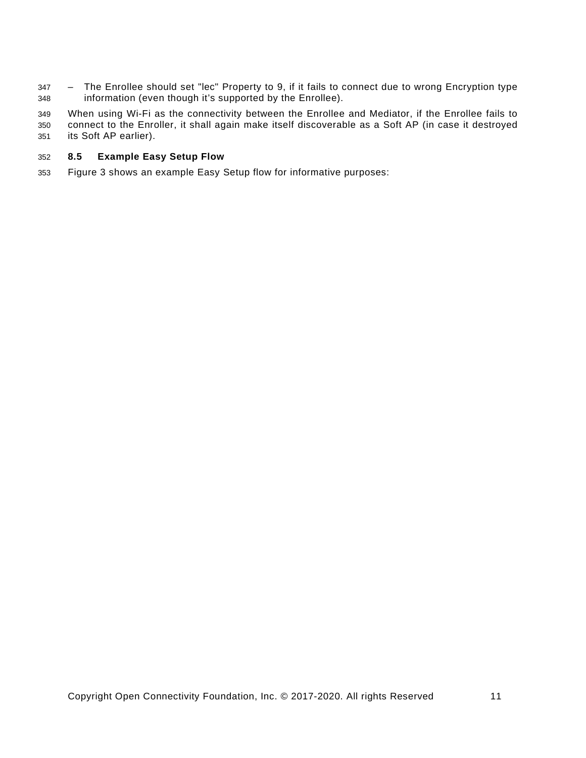– The Enrollee should set "lec" Property to 9, if it fails to connect due to wrong Encryption type information (even though it's supported by the Enrollee).

 When using Wi-Fi as the connectivity between the Enrollee and Mediator, if the Enrollee fails to connect to the Enroller, it shall again make itself discoverable as a Soft AP (in case it destroyed its Soft AP earlier).

#### <span id="page-16-0"></span>**8.5 Example Easy Setup Flow**

Figure 3 shows an example Easy Setup flow for informative purposes: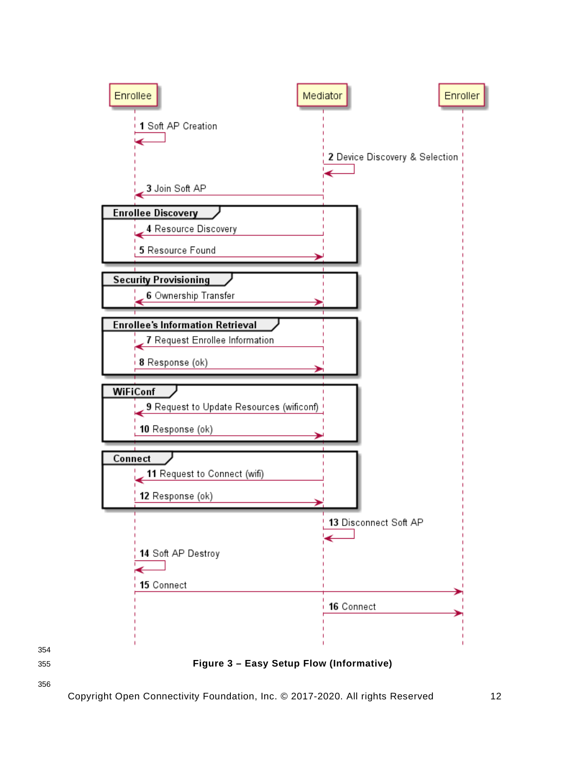

<span id="page-17-0"></span>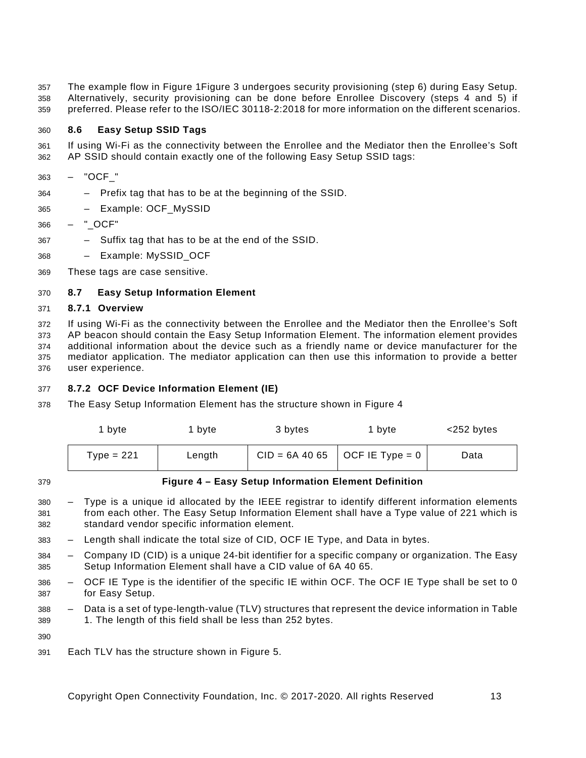The example flow in [Figure](#page-9-4) [1Figure](#page-17-0) 3 undergoes security provisioning (step 6) during Easy Setup. Alternatively, security provisioning can be done before Enrollee Discovery (steps 4 and 5) if preferred. Please refer to the [ISO/IEC 30118-2:2018](#page-6-6) for more information on the different scenarios.

## <span id="page-18-0"></span>**8.6 Easy Setup SSID Tags**

 If using Wi-Fi as the connectivity between the Enrollee and the Mediator then the Enrollee's Soft AP SSID should contain exactly one of the following Easy Setup SSID tags:

- "OCF\_"
- Prefix tag that has to be at the beginning of the SSID.
- Example: OCF\_MySSID
- "\_OCF"
- Suffix tag that has to be at the end of the SSID.
- Example: MySSID\_OCF
- These tags are case sensitive.

#### <span id="page-18-1"></span>**8.7 Easy Setup Information Element**

#### <span id="page-18-2"></span>**8.7.1 Overview**

 If using Wi-Fi as the connectivity between the Enrollee and the Mediator then the Enrollee's Soft AP beacon should contain the Easy Setup Information Element. The information element provides additional information about the device such as a friendly name or device manufacturer for the mediator application. The mediator application can then use this information to provide a better user experience.

#### <span id="page-18-3"></span>**8.7.2 OCF Device Information Element (IE)**

The Easy Setup Information Element has the structure shown in [Figure](#page-18-4) 4

| 1 byte       | l bvte | 3 bytes | 1 byte                           | <252 bytes |
|--------------|--------|---------|----------------------------------|------------|
| Type = $221$ | Length |         | $CID = 6A 40 65$ OCF IE Type = 0 | Data       |

<span id="page-18-4"></span>

#### **Figure 4 – Easy Setup Information Element Definition**

- Type is a unique id allocated by the IEEE registrar to identify different information elements from each other. The Easy Setup Information Element shall have a Type value of 221 which is standard vendor specific information element.
- Length shall indicate the total size of CID, OCF IE Type, and Data in bytes.
- Company ID (CID) is a unique 24-bit identifier for a specific company or organization. The Easy Setup Information Element shall have a CID value of 6A 40 65.
- OCF IE Type is the identifier of the specific IE within OCF. The OCF IE Type shall be set to 0 for Easy Setup.
- Data is a set of type-length-value (TLV) structures that represent the device information in Table 1. The length of this field shall be less than 252 bytes.

Each TLV has the structure shown in [Figure](#page-19-0) 5.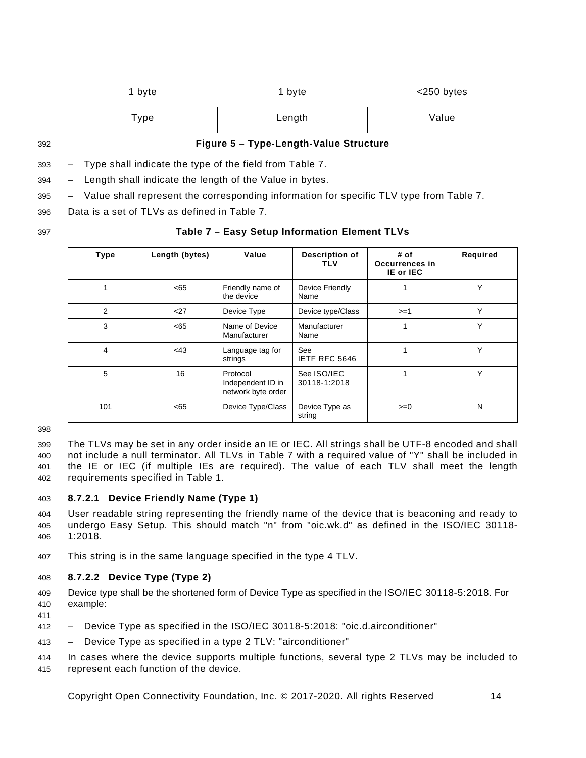| byte | 1 byte | $<$ 250 bytes |
|------|--------|---------------|
| Type | Length | Value         |

<span id="page-19-0"></span>

#### 392 **Figure 5 – Type-Length-Value Structure**

393 – Type shall indicate the type of the field from [Table](#page-19-1) 7.

394 – Length shall indicate the length of the Value in bytes.

395 – Value shall represent the corresponding information for specific TLV type from [Table](#page-19-1) 7.

396 Data is a set of TLVs as defined in [Table](#page-19-1) 7.

# 397 **Table 7 – Easy Setup Information Element TLVs**

<span id="page-19-1"></span>

| <b>Type</b> | Length (bytes) | Value                                               | Description of<br>TLV       | # of<br>Occurrences in<br>IE or IEC | Required     |
|-------------|----------------|-----------------------------------------------------|-----------------------------|-------------------------------------|--------------|
|             | <65            | Friendly name of<br>the device                      | Device Friendly<br>Name     |                                     | Υ            |
| 2           | $<$ 27         | Device Type                                         | Device type/Class           | $>=1$                               | Υ            |
| 3           | <65            | Name of Device<br>Manufacturer                      | Manufacturer<br>Name        |                                     | Υ            |
| 4           | $<$ 43         | Language tag for<br>strings                         | See<br>IETF RFC 5646        |                                     | Υ            |
| 5           | 16             | Protocol<br>Independent ID in<br>network byte order | See ISO/IEC<br>30118-1:2018 |                                     | $\checkmark$ |
| 101         | <65            | Device Type/Class                                   | Device Type as<br>string    | $>=0$                               | N            |

398

411

 The TLVs may be set in any order inside an IE or IEC. All strings shall be UTF-8 encoded and shall not include a null terminator. All TLVs in [Table](#page-19-1) 7 with a required value of "Y" shall be included in the IE or IEC (if multiple IEs are required). The value of each TLV shall meet the length requirements specified in Table 1.

#### 403 **8.7.2.1 Device Friendly Name (Type 1)**

404 User readable string representing the friendly name of the device that is beaconing and ready to 405 undergo Easy Setup. This should match "n" from "oic.wk.d" as defined in the [ISO/IEC 30118-](#page-6-2) 406 [1:2018.](#page-6-2)

407 This string is in the same language specified in the type 4 TLV.

#### 408 **8.7.2.2 Device Type (Type 2)**

409 Device type shall be the shortened form of Device Type as specified in the [ISO/IEC 30118-5:2018.](#page-6-7) For 410 example:

- 412 Device Type as specified in the [ISO/IEC 30118-5:2018:](#page-6-7) "oic.d.airconditioner"
- 413 Device Type as specified in a type 2 TLV: "airconditioner"
- 414 In cases where the device supports multiple functions, several type 2 TLVs may be included to 415 represent each function of the device.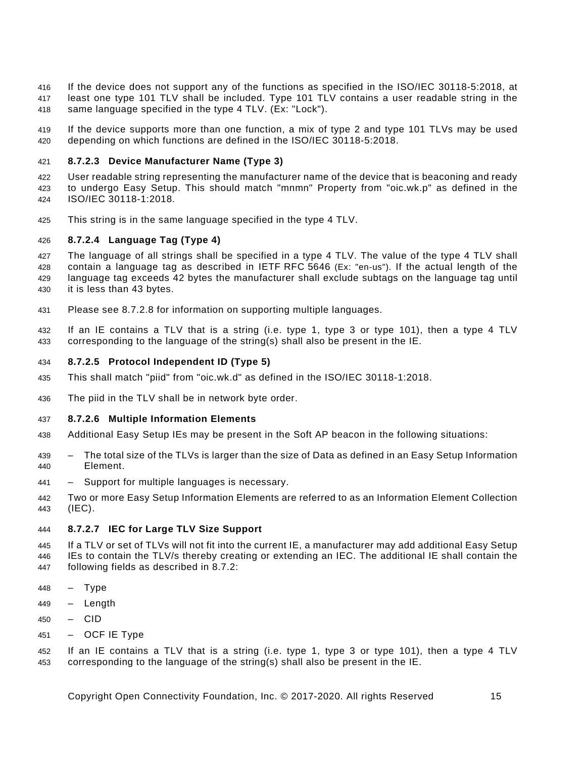- If the device does not support any of the functions as specified in the [ISO/IEC 30118-5:2018,](#page-6-7) at least one type 101 TLV shall be included. Type 101 TLV contains a user readable string in the same language specified in the type 4 TLV. (Ex: "Lock").
- If the device supports more than one function, a mix of type 2 and type 101 TLVs may be used depending on which functions are defined in the [ISO/IEC 30118-5:2018.](#page-6-7)

# **8.7.2.3 Device Manufacturer Name (Type 3)**

 User readable string representing the manufacturer name of the device that is beaconing and ready to undergo Easy Setup. This should match "mnmn" Property from "oic.wk.p" as defined in the [ISO/IEC 30118-1:2018.](#page-6-2)

This string is in the same language specified in the type 4 TLV.

# **8.7.2.4 Language Tag (Type 4)**

 The language of all strings shall be specified in a type 4 TLV. The value of the type 4 TLV shall contain a language tag as described in [IETF](#page-6-4) RFC 5646 (Ex: "en-us"). If the actual length of the language tag exceeds 42 bytes the manufacturer shall exclude subtags on the language tag until it is less than 43 bytes.

- Please see [8.7.2.8](#page-21-1) for information on supporting multiple languages.
- If an IE contains a TLV that is a string (i.e. type 1, type 3 or type 101), then a type 4 TLV corresponding to the language of the string(s) shall also be present in the IE.

# **8.7.2.5 Protocol Independent ID (Type 5)**

- This shall match "piid" from "oic.wk.d" as defined in the [ISO/IEC 30118-1:2018.](#page-6-2)
- The piid in the TLV shall be in network byte order.

# **8.7.2.6 Multiple Information Elements**

- Additional Easy Setup IEs may be present in the Soft AP beacon in the following situations:
- The total size of the TLVs is larger than the size of Data as defined in an Easy Setup Information Element.
- Support for multiple languages is necessary.
- Two or more Easy Setup Information Elements are referred to as an Information Element Collection (IEC).

# **8.7.2.7 IEC for Large TLV Size Support**

- If a TLV or set of TLVs will not fit into the current IE, a manufacturer may add additional Easy Setup IEs to contain the TLV/s thereby creating or extending an IEC. The additional IE shall contain the following fields as described in [8.7.2:](#page-18-3)
- Type
- Length
- CID
- OCF IE Type

 If an IE contains a TLV that is a string (i.e. type 1, type 3 or type 101), then a type 4 TLV corresponding to the language of the string(s) shall also be present in the IE.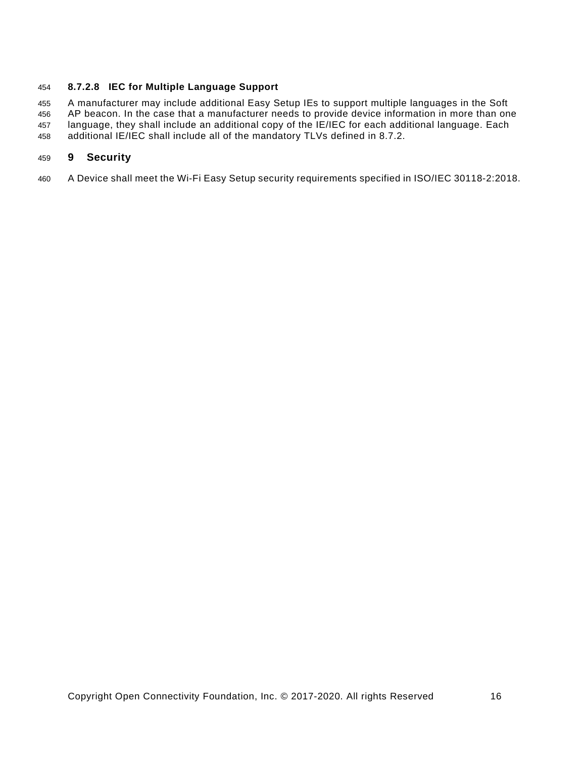#### <span id="page-21-1"></span>**8.7.2.8 IEC for Multiple Language Support**

 A manufacturer may include additional Easy Setup IEs to support multiple languages in the Soft AP beacon. In the case that a manufacturer needs to provide device information in more than one language, they shall include an additional copy of the IE/IEC for each additional language. Each additional IE/IEC shall include all of the mandatory TLVs defined in [8.7.2.](#page-18-3)

#### <span id="page-21-0"></span>**9 Security**

A Device shall meet the Wi-Fi Easy Setup security requirements specified in [ISO/IEC 30118-2:2018.](#page-6-6)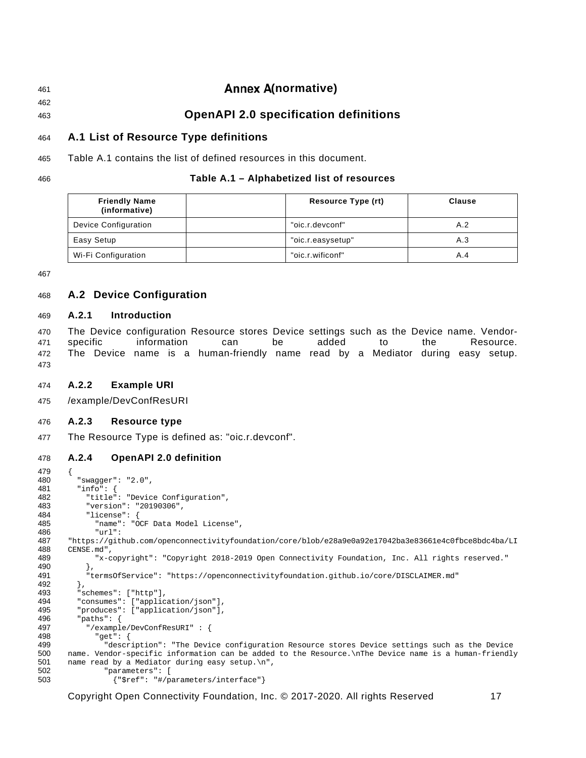# <span id="page-22-0"></span><sup>461</sup> **(normative)** 462

<sup>463</sup> **OpenAPI 2.0 specification definitions**

# <span id="page-22-1"></span>464 **A.1 List of Resource Type definitions**

465 [Table A.1](#page-22-7) contains the list of defined resources in this document.

#### 466 **Table A.1 – Alphabetized list of resources**

<span id="page-22-7"></span>

| <b>Friendly Name</b><br>(informative) | Resource Type (rt) | Clause |
|---------------------------------------|--------------------|--------|
| Device Configuration                  | "oic.r.devconf"    | A.2    |
| Easy Setup                            | "oic.r.easysetup"  | A.3    |
| Wi-Fi Configuration                   | "oic.r.wificonf"   | A.4    |

467

# <span id="page-22-2"></span>468 **A.2 Device Configuration**

#### <span id="page-22-3"></span>469 **A.2.1 Introduction**

 The Device configuration Resource stores Device settings such as the Device name. Vendor- specific information can be added to the Resource. The Device name is a human-friendly name read by a Mediator during easy setup. 473

#### <span id="page-22-4"></span>474 **A.2.2 Example URI**

475 /example/DevConfResURI

#### <span id="page-22-5"></span>476 **A.2.3 Resource type**

477 The Resource Type is defined as: "oic.r.devconf".

#### <span id="page-22-6"></span>478 **A.2.4 OpenAPI 2.0 definition**

```
479 {
480 "swagger": "2.0",
481 "info": {
482 "title": "Device Configuration",<br>483 "version": "20190306".
483 "version": "20190306",
484 "license": {
485 "name": "OCF Data Model License",
486 "url":<br>487 "https://git
487 "https://github.com/openconnectivityfoundation/core/blob/e28a9e0a92e17042ba3e83661e4c0fbce8bdc4ba/LI<br>488 CENSE.md".
488 CENSE.md",<br>489 "x-c
             489 "x-copyright": "Copyright 2018-2019 Open Connectivity Foundation, Inc. All rights reserved."
490<br>491
             491 "termsOfService": "https://openconnectivityfoundation.github.io/core/DISCLAIMER.md"
492 },<br>493 "s
493 "schemes": ["http"],<br>494 "consumes": ["applic
494 "consumes": ["application/json"],<br>495 "produces": ["application/ison"],
495 "produces": ["application/json"],<br>496      "paths": {
496 "paths": {\n497 \t*/{exampl}}497 "/example/DevConfResURI" : {<br>498 "get": {
498 "get": {
499 "description": "The Device configuration Resource stores Device settings such as the Device 
500 name. Vendor-specific information can be added to the Resource.\nThe Device name is a human-friendly<br>501 name read by a Mediator during easy setup.\n",
501 name read by a Mediator during easy setup.\n",<br>502    "parameters": [
502 "parameters": [<br>503 {"$ref": "#/p
                    503 {"$ref": "#/parameters/interface"}
```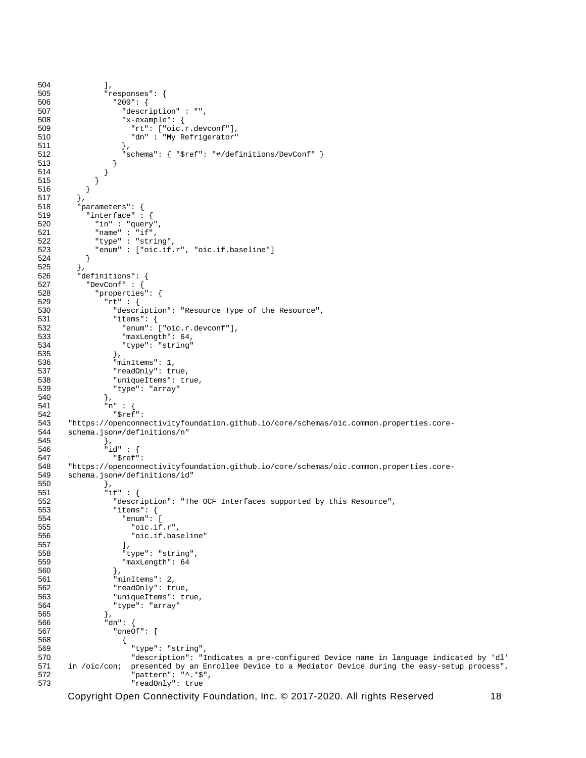```
504 ],<br>505 \frac{1}{r}505 "responses": {
506 "200": {
507 "description" : "",<br>508 "x-example": {
508 "x-example": {
509 "rt": ["oic.r.devconf"],
                       "dn" : "My Refrigerator"
511 },<br>512 ^{\frac{1}{3}}\begin{array}{l} \texttt{``schema": } \{ \texttt{``$$ref": "$\#/definitions/DevConf" } \} \end{array}513<br>514 }
514<br>515 }
515 }
516<br>517 },
517<br>518
518 "parameters": {
519 "interface" : {
520 "in" : "query",
521 "name" : "if",
522 "type" : "string",
            "enum" : ["oic.if.r", "oic.if.baseline"]<br>}
524<br>525 },
525<br>526
526 "definitions": {
527 "DevConf" : {<br>528 "properties
528 "properties": {
529 "rt" : {
530 "description": "Resource Type of the Resource",<br>531 "items": {
531 "items": {
532 "enum": ["oic.r.devconf"],
533 "maxLength": 64,
                   "type": "string"<br>},
535 },
536 "minItems": 1,<br>537 TreadOnly": tr
537 "readOnly": true,
538 "uniqueItems": true,
                "type": "array"<br>},
540<br>541
541 "n" : {
542 "$ref": 
543 "https://openconnectivityfoundation.github.io/core/schemas/oic.common.properties.core-<br>544 schema.ison#/definitions/n"
       schema.json#/definitions/n"
545 },<br>546 \frac{1}{2}546 "id" : {<br>547 "$ref"
547 "$ref": 
548 "https://openconnectivityfoundation.github.io/core/schemas/oic.common.properties.core-<br>549 schema.json#/definitions/id"
       schema.json#/definitions/id"<br>},
550 },
551 "if" : {
552 "description": "The OCF Interfaces supported by this Resource",<br>553 "items": {
553 "items": {
554 "enum": [
555 "oic.if.r",
                     "oic.if.baseline"<br>],
557<br>558
558 "type": "string",
                     "maxLength": 64
560 },
561 "minItems": 2,<br>562 "readOnly": tr
562 "readOnly": true,<br>563 "uniqueItems": true
563 "uniqueItems": true,<br>564 "type": "array"
                "type": "array"<br>},
565<br>566
566 "dn": {
567 "oneOf": [
568 {
569 \blacksquare \blacksquare \blacksquare \blacksquare \blacksquare \blacksquare \blacksquare \blacksquare \blacksquare \blacksquare \blacksquare \blacksquare \blacksquare \blacksquare \blacksquare \blacksquare \blacksquare \blacksquare \blacksquare \blacksquare \blacksquare \blacksquare \blacksquare \blacksquare \blacksquare \blacksquare \blacksquare \blacksquare \blacksquare \blacksquare \blacksquare 570 "description": "Indicates a pre-configured Device name in language indicated by 'dl' 
571 in /oic/con; presented by an Enrollee Device to a Mediator Device during the easy-setup process",
572 "pattern": "^.*$",
                       573 "readOnly": true
```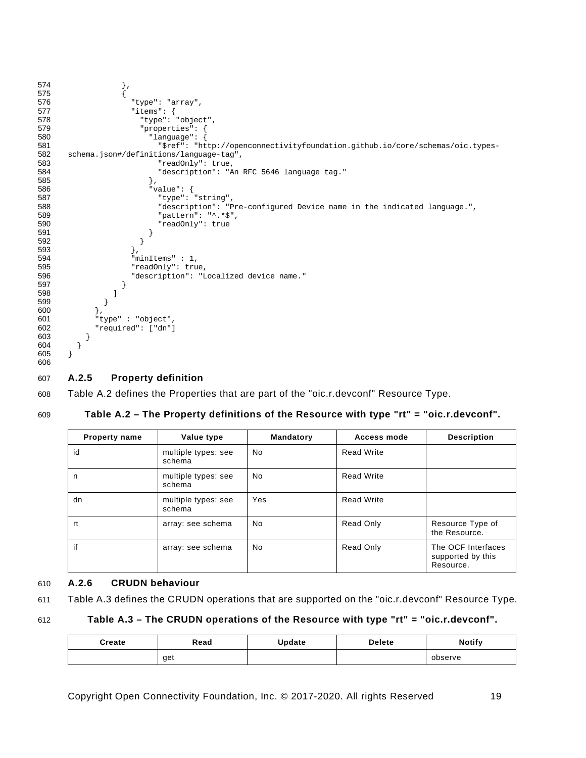```
574 },
575<br>576
576 "type": "array",
577 <br>
578 <br>
578 <br>
579 <br>
579 <br>
579 <br>
579 <br>
579 <br>
579 <br>
579 <br>
579 <br>
579 <br>
579 <br>
579 <br>
589 <br>
589 <br>
599 <br>
599 <br>
599 <br>
599 <br>
599 <br>
599 <br>
599 <br>
599 <br>
599 <br>
599 <br>
599 <br>
599 <br>
599 <br>
599 <br>
599 <br>
599 <br>
599 <br>
599 <br>
599 <br>
599 <br>
599 <br>

578 "type": "object",
579 "properties": {
580 "language": {
581 "$ref": "http://openconnectivityfoundation.github.io/core/schemas/oic.types-<br>582 schema.json#/definitions/language-tag",
582 schema.json#/definitions/language-tag",<br>583 "readOnly": true,
583 "readOnly": true,
584 "description": "An RFC 5646 language tag."
585 },
586 "value": {
587 "type": "string",<br>588 "description": "P
588 "description": "Pre-configured Device name in the indicated language.",
589 "pattern": "^.*$",
590 "readOnly" : true<br>591 }
591 }
592 }<br>593 }
593<br>594
594 minItems "minItems" : 1,<br>595 TreadOnly ": tru
595 "readOnly": true,
                     "description": "Localized device name."<br>}
597 }
598 ]
599<br>600 },
600<br>601
601 <br>"type" : "object",<br>602   "required": ["dn"]
            "required": ["dn"]<br>}
603<br>604 }
604<br>605 }
605 }
606
```
#### <span id="page-24-0"></span>607 **A.2.5 Property definition**

608 [Table A.2](#page-24-2) defines the Properties that are part of the "oic.r.devconf" Resource Type.

#### 609 **Table A.2 – The Property definitions of the Resource with type "rt" = "oic.r.devconf".**

<span id="page-24-2"></span>

| <b>Property name</b> | Value type                    | Mandatory | Access mode       | <b>Description</b>                                   |
|----------------------|-------------------------------|-----------|-------------------|------------------------------------------------------|
| id                   | multiple types: see<br>schema | <b>No</b> | <b>Read Write</b> |                                                      |
| n                    | multiple types: see<br>schema | <b>No</b> | <b>Read Write</b> |                                                      |
| dn                   | multiple types: see<br>schema | Yes       | <b>Read Write</b> |                                                      |
| rt                   | array: see schema             | No.       | Read Only         | Resource Type of<br>the Resource.                    |
| if                   | array: see schema             | <b>No</b> | Read Only         | The OCF Interfaces<br>supported by this<br>Resource. |

#### <span id="page-24-1"></span>610 **A.2.6 CRUDN behaviour**

```
611 Table A.3 defines the CRUDN operations that are supported on the "oic.r.devconf" Resource Type.
```
#### 612 **Table A.3 – The CRUDN operations of the Resource with type "rt" = "oic.r.devconf".**

<span id="page-24-3"></span>

| Create | Read | Update | <b>Delete</b> | <b>Notify</b> |
|--------|------|--------|---------------|---------------|
|        | get  |        |               | observe       |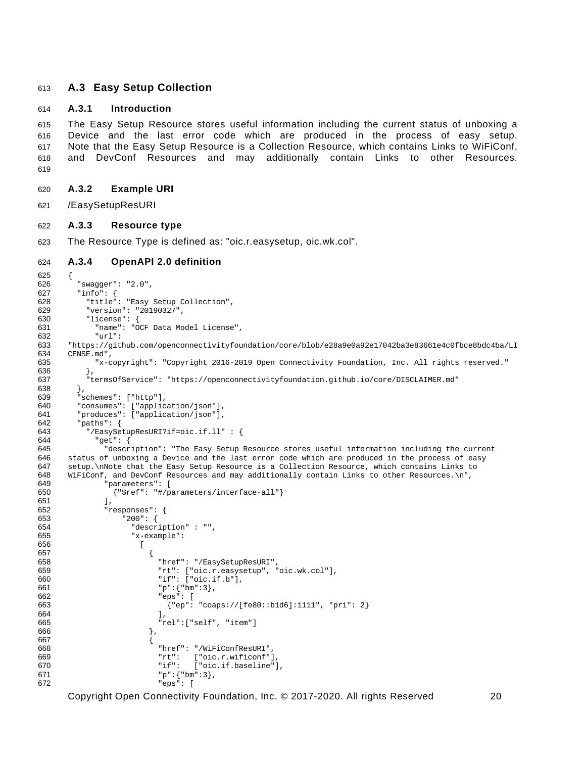#### <span id="page-25-0"></span>**A.3 Easy Setup Collection**

#### <span id="page-25-1"></span>**A.3.1 Introduction**

 The Easy Setup Resource stores useful information including the current status of unboxing a Device and the last error code which are produced in the process of easy setup. Note that the Easy Setup Resource is a Collection Resource, which contains Links to WiFiConf, and DevConf Resources and may additionally contain Links to other Resources. 

- <span id="page-25-2"></span>**A.3.2 Example URI**
- /EasySetupResURI

#### <span id="page-25-3"></span>**A.3.3 Resource type**

The Resource Type is defined as: "oic.r.easysetup, oic.wk.col".

#### <span id="page-25-4"></span>**A.3.4 OpenAPI 2.0 definition**

```
625 {
626 "swagger": "2.0",
627 "info": {
628 "title": "Easy Setup Collection",<br>629 "version": "20190327",
629 "version": "20190327",
630 "license": {<br>631 "name": "C
631 "name": "OCF Data Model License",
632 "url":<br>633 "https://git
633 "https://github.com/openconnectivityfoundation/core/blob/e28a9e0a92e17042ba3e83661e4c0fbce8bdc4ba/LI<br>634 CENSE.md",
634 CENSE.md",<br>635 "x-c
           635 "x-copyright": "Copyright 2016-2019 Open Connectivity Foundation, Inc. All rights reserved."
636<br>637
         637 "termsOfService": "https://openconnectivityfoundation.github.io/core/DISCLAIMER.md"
638<br>639
639 "schemes": ["http"],<br>640 "consumes": ["applic
640   "consumes": ["application/json"],<br>641   "produces": ["application/json"],
641 "produces": ["application/json"],<br>642      "paths": {
642 "paths": {
643 "/EasySetupResURI?if=oic.if.ll" : {
644 "get": {
645 "description": "The Easy Setup Resource stores useful information including the current 
646 status of unboxing a Device and the last error code which are produced in the process of easy<br>647 setup.\nNote that the Easy Setup Resource is a Collection Resource, which contains Links to
647 setup.\nNote that the Easy Setup Resource is a Collection Resource, which contains Links to 648 WiFiConf, and DevConf Resources and may additionally contain Links to other Resources.\n",
648 WiFiConf, and DevConf Resources and may additionally contain Links to other Resources.\n",<br>649                 "parameters": [
649 "parameters": [<br>650 {"Sref": "#/p
               650 {"$ref": "#/parameters/interface-all"}
651<br>652
652 "responses": {
653 "200": {
654 "description" : "",
655 "x-example":
656 [
657 \{658 "href": "/EasySetupResURI",
659 T_t"T_t": ["oic.r.easysetup", "oic.wk.col"],<br>660 T_t"if": ["oic.if.b"].
660 "if": ["oic.if.b"],
661 "p":{"bm":3},
662 "eps": [
663 <br>
{^{\text{Pep}}}: "coaps://[fe80::b1d6]:1111", "pri": 2}<br>
{^{\text{Pep}}}:664 ],
665 "rel":["self", "item"]
666 },
667 \{668 "href": "/WiFiConfResURI",
669 "rt": ["oic.r.wificonf"],
670 <br>
for the "if": ["oic.if.baseline"],<br>
for the "p":{"bm":3},
671 P''P'' : {^wP''} : 3}, 672 P''P'' = 672"eps": [
```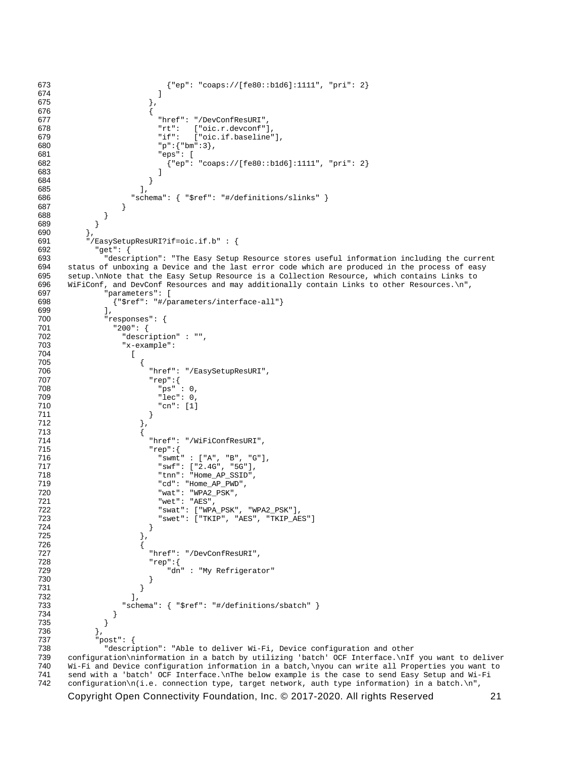```
673 {^{\texttt{[epr: "coaps://[fe80::b1d6]:1111", "pri": 2}}}674 ]
675 \Big\},
676 \{, "fixef": "/DevConfResURI", וד Phref": "/DevConfResURI<br>"rt": ["oic.r.devconf"]
678 "rt": ["oic.r.devconf"],
679 "if": ["oic.if.baseline"],
680 "p":{"bm":3},<br>681 "eps": [
681 "eps": [<br>682 : "eps": [
682 {"ep": "coaps://[fe80::b1d6]:1111", "pri": 2}
683 ]
684 }
685 ],
686 "schema": { "$ref": "#/definitions/slinks" }
687 }
688 }<br>689 }
689 }
690 },<br>691 "/
691 "/EasySetupResURI?if=oic.if.b" : {
692 "get": {
693 "description": "The Easy Setup Resource stores useful information including the current 
694 status of unboxing a Device and the last error code which are produced in the process of easy<br>695 setup.\nNote that the Easy Setup Resource is a Collection Resource, which contains Links to
695 setup.\nNote that the Easy Setup Resource is a Collection Resource, which contains Links to 
696 WiFiConf, and DevConf Resources and may additionally contain Links to other Resources.\n",<br>697                 "parameters": [
697 "parameters": [<br>698 \{ "Sref": "#/ps" \}698 {"$ref": "#/parameters/interface-all"}
699<br>700
700 "responses": {
701 "200": {
702 "description" : "",
                 "x-example":
704 [
705 {
706 "href": "/EasySetupResURI",
707 "rep":{<br>708 "ps"
708 "ps" : 0,
709 "lec": 0,
710 "cn": [1]
711 }
712 },
713 {
714 "href": "/WiFiConfResURI",
715 "rep":{<br>716 "swmt
716 "swmt" : ["A", "B", "G"],
717 "swf": ["2.4G", "5G"],
718 "tnn": "Home_AP_SSID",
\begin{array}{ccccc}\n719 & & & \text{rcd} : & \text{Home\_AP\_PWD''}\n\end{array},\n\begin{array}{ccccc}\n720 & & & \text{wat} : & \text{wP} & \text{rce} & \text{rce} \\
\end{array}720 "wat": "WPA2_PSK",
721 "wet": "AES",
722 "swat": ["WPA_PSK", "WPA2_PSK"],
723 "swet": ["TKIP", "AES", "TKIP_AES"]
724 }
725 \{\},
726 {
727 "href": "/DevConfResURI",
728 "rep":{<br>729 "dn
729 "dn" : "My Refrigerator"
730 }
731 }
732 ],
733 "schema": { "$ref": "#/definitions/sbatch" }
734<br>735 }
735 }
736<br>737
737 "post": {
738 "description": "Able to deliver Wi-Fi, Device configuration and other<br>739 configuration\ninformation in a batch by utilizing 'batch' OCF Interface.\nIf
739 configuration\ninformation in a batch by utilizing 'batch' OCF Interface.\nIf you want to deliver 
740 Wi-Fi and Device configuration information in a batch,\nyou can write all Properties you want to<br>741 Send with a 'batch' OCF Interface.\nThe below example is the case to send Easy Setup and Wi-Fi
741 send with a 'batch' OCF Interface.\nThe below example is the case to send Easy Setup and Wi-Fi<br>742 configuration\n(i.e. connection type, target network, auth type information) in a batch.\n",
      \text{configuration}\n\cdot(i.e. \text{connection type, target network, author}= \text{information}) in a batch.\n\cdot\cdot
```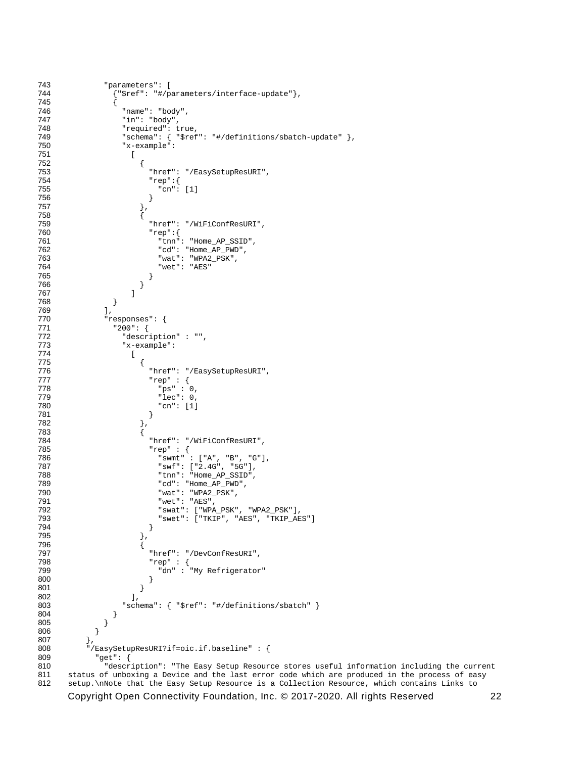```
743 "parameters": [
            744 {"$ref": "#/parameters/interface-update"},
745<br>746
746 "name": "body",
747 "in": "body",
748 "required": true,<br>749 "schema": { "$ref
749 "schema": { "$ref": "#/definitions/sbatch-update" },<br>750 "x-example":
             "x-example":<br>[
751<br>752
752 {
753 "href": "/EasySetupResURI",
754 "rep":{
755 "cn": [1]
756 }
757 \Big\},
758 {
759                                  "href": "/WiFiConfResURI",<br>760                                "rep":{
760 "rep":{
761 "tnn": "Home_AP_SSID",
762 "cd": "Home_AP_PWD",
763 "wat": "WPA2_PSK",
764 "wet": "AES"
765 }
766 }
767 ]
768 }
769 ],<br>770 "re
770 "responses": {
771 "200": {<br>772 "descr
772 "description" : "",
             "x-example":<br>[
774<br>775
775776 "href": "/EasySetupResURI",<br>777 "rep": {
777 "rep" : {
778 "ps" : 0,
779 "lec": 0,<br>780 "cn": [1]
780 "cn": [1]
781 }
782 \{\},
783 {
784 Thref": "/WiFiConfResURI",<br>785 Trep": {
785 "rep" : {
786 "swmt" : ["A", "B", "G"],
787 "swf": ["2.4G", "5G"],
788 "tnn": "Home_AP_SSID",
789 "cd": "Home_AP_PWD",
790 "wat": "WPA2_PSK",
791 "wet": "AES",
792 "swat": ["WPA_PSK", "WPA2_PSK"],
793 "swet": ["TKIP", "AES", "TKIP_AES"]
794 }
795 \, \, \},
796 {
797 "href": "/DevConfResURI",
798 "rep" : {
799 "dn" : "My Refrigerator"
800 }
801 }
802 ],
803 "schema": { "$ref": "#/definitions/sbatch" }
804<br>805 }
805<br>806 }
806<br>807 },
807<br>808
808 "/EasySetupResURI?if=oic.if.baseline" : {
809 "get": {
810 "description": "The Easy Setup Resource stores useful information including the current 
811 status of unboxing a Device and the last error code which are produced in the process of easy<br>812 setup. \nNote that the Easy Setup Resource is a Collection Resource, which contains Links to
    812 setup.\nNote that the Easy Setup Resource is a Collection Resource, which contains Links to
```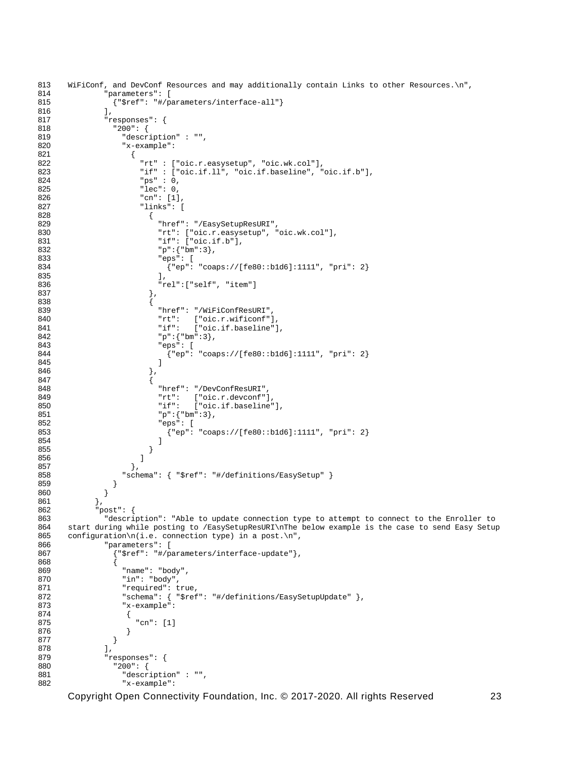```
813 WiFiConf, and DevConf Resources and may additionally contain Links to other Resources.\n",<br>814 Thermalists of the senameters": [
814 "parameters": [<br>815 : "$ref": "#/pa
                  815 {"$ref": "#/parameters/interface-all"}
816 \frac{1}{2}, \frac{1}{2}817 "responses": {
818 "200": {
819 "description" : "",
                    "x-example":<br>{
821<br>822
822 Trt" : ["oic.r.easysetup", "oic.wk.col"],<br>823 Tif" : ["oic.if.ll", "oic.if.baseline", "
823 \texttt{inf}" : ["oic.if.ll", "oic.if.baseline", "oic.if.b"],<br>824 \texttt{max} : 0.
824 "ps" : 0,
825 "lec": 0,<br>826 "cn": [1]
826 "cn": [1],
827 "links": [
828 {
829 "href": "/EasySetupResURI",
830 "rt": ["oic.r.easysetup", "oic.wk.col"],
831 \begin{array}{ccc} \texttt{diff}: [{}^{\texttt{!`}}: [{}^{\texttt{!`}}: \texttt{f}.b"], \\ 832 \end{array}832 P_p''': \{P_m''': 3\},<br>833 P_p''': \{P_{p'}': 5\}833 "eps": [
834 {^{\text{Pep}}}: "coaps://[fe80::b1d6]:1111", "pri": 2}835 ],
836 "rel":["self", "item"]
837 \Big\},
838 {
example of the state of the state of the state of the state of the state of the state of the state of the state of the state of the state of the state of the state of the state of the state of the state of the state of the
840 "rt": ["oic.r.wificonf"],
841 "if": ["oic.if.baseline"],
842 "p":{"bm":3},<br>843 "eps": [
843 "eps": [
844 {^{\text{#ep}}}: \text{ "cЭ://[fe80::b1d6]:1111", "pri": 2}845 ]
846 },
847 {
external of the same state of the state of the state of the state of the state of the state of the state of the state of the state of the state of the state of the state of the state of the state of the state of the state 
849 "rt": ["oic.r.devconf"],
850 "if": ["oic.if.baseline"],
851 \mathbb{P}^{\mathbb{T}}: \{\mathbb{P}^{\mathbb{R}}: 3\},\852 \mathbb{P}^{\mathbb{R}}852 "eps": [<br>853 {"ep":
853 \{ "ep": "coaps://[fe80::b1d6]:1111", "pri": 2}854 ]
855 }
856 \frac{1}{2}857 \Big\},
858 "schema": { "$ref": "#/definitions/EasySetup" }<br>859 }
859 }
860 }
861 },<br>862 "p
862 "post": {
863 "description": "Able to update connection type to attempt to connect to the Enroller to<br>864 start during while posting to (EasySetupResURI) prior example is the case to send Easy Setup
864 start during while posting to /EasySetupResURI\nThe below example is the case to send Easy Setup 865 configuration\n(i.e. connection type) in a post.\n",
865 configuration\n(i.e. connection type) in a post.\n",<br>866 		 "parameters": [
866 "parameters": [<br>867 | {"$ref": "#/p
867 {\text{``$ref": "#/parameters/interface-update"}}868 {
869 "name": "body",
870 "in": "body",
871 "required": true,<br>872 "schema": { "$ref
872                   "schema": { "$ref": "#/definitions/EasySetupUpdate" },<br>873                 "x-example":
                    873 "x-example":
874 {
                     "cn": [1]<br>}
876 }
877<br>878
878 ],<br>879       "r
879 "responses": {
880 "200": {
881 "description" : "",<br>882 "x-example":
                    882 "x-example":
```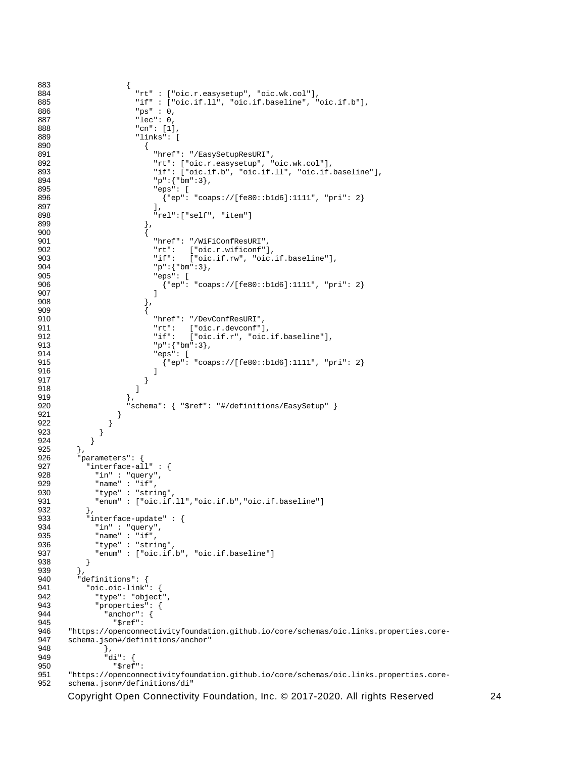```
883 {
884 "rt" : ["oic.r.easysetup", "oic.wk.col"],
885 "if" : ["oic.if.ll", "oic.if.baseline", "oic.if.b"],<br>886 "ps" : 0,
886 "ps" : 0,
887 "lec": 0,
888 "cn": [1],
889 "links": [
890 {
891 "href": "/EasySetupResURI",
892 "rt": ["oic.r.easysetup", "oic.wk.col"],<br>893 "if": ["oic.if.b", "oic.if.ll", "oic.if.
893 \texttt{inf}: [\texttt{roic}.\texttt{if.b", "oic}.\texttt{if.ll", "oic}.\texttt{if}.\texttt{baseline}'],894 "p": {"bm": 3},<br>895 "eps": [
895 "eps": [<br>896 {"ep":
896 \{ [ \text{rep} : \text{''coaps:} // [ \text{fe80:}: \text{b1d6} ] : 1111 \text{''}, \text{''pri" : 2} \}897 ],
898 \begin{array}{c} \text{"rel":} [\text{"self"} \text{, "item"}] \\ 899 \\ 900 \end{array}899 },
900 {
901 "href": "/WiFiConfResURI",
902 "rt": ["oic.r.wificonf"],<br>903 - "if": ["oic.if.rw", "oic.
903 \texttt{inf} "if": [\text{"oic.if.rw"}, "oic.if.baseline"],<br>904 \texttt{sup} :{"bm":3},
904 "p" : {''bm}:3},<br>905 "ess": [905 \frac{1}{2} \frac{1}{2} \frac{1}{2} \frac{1}{2} \frac{1}{2} \frac{1}{2} \frac{1}{2} \frac{1}{2} \frac{1}{2} \frac{1}{2} \frac{1}{2} \frac{1}{2} \frac{1}{2} \frac{1}{2} \frac{1}{2} \frac{1}{2} \frac{1}{2} \frac{1}{2} \frac{1}{2} \frac{1}{2} \frac{1}{2} \frac{1}{2906 {^{\texttt{[rep': "coaps://[fe80::b1d6]:1111", "pri": 2}}}907 ]
908 },
909 {
910 "href": "/DevConfResURI",
911 "rt": ["oic.r.devconf"],
912 {}^{\texttt{inf}}: {}^{\texttt{r}}: {}^{\texttt{r}} \texttt{in} {}^{\texttt{r}}, {}^{\texttt{r}} \texttt{in} {}^{\texttt{r}}; {}^{\texttt{r}} \texttt{in} {}^{\texttt{r}} :3},
913 "p":{"bm":3},<br>914 "eps": [
914 "eps": [<br>915 {"en":
915 {"ep": "coaps://[fe80::b1d6]:1111", "pri": 2}
916 ]
917 }
918 ]
919 },
920 <br>
921 <br>
921 <br>
921
921<br>922 }
922 }
923 }<br>924 }
924
925 },<br>926 "p
926  "parameters": {<br>927  "interface-al
927 "interface-all" : {
928 "in" : "query",
929 "name" : "if",<br>930 "type" : "stri
930 "type" : "string",
             931 "enum" : ["oic.if.ll","oic.if.b","oic.if.baseline"]
932 },<br>933 "i
933 "interface-update" : {<br>934 "in" : "guery".
934 "in" : "query",
935 "name": "if",<br>936 "type": "stri
936 "type": "string"<br>937 "enum": ["oic.if
           937 "enum" : ["oic.if.b", "oic.if.baseline"]
938 }
939 },<br>940 "d
940 "definitions": {<br>"941 "oic.oic-link"
941 "oic.oic-link": {<br>942 "type": "object"
942 "type": "object",<br>943 "properties": {
943 "properties": {
944 "anchor": {<br>945 "Sref":
: "945"<br>946 "https://openconn
946 "https://openconnectivityfoundation.github.io/core/schemas/oic.links.properties.core-<br>947 schema.ison#/definitions/anchor"
947 schema.json#/definitions/anchor"<br>948 }
948 },
949 "di": {
spef":<br>951 "https://openconn
951 "https://openconnectivityfoundation.github.io/core/schemas/oic.links.properties.core-<br>952 schema.ison#/definitions/di"
       schema.json#/definitions/di"
```
Copyright Open Connectivity Foundation, Inc. © 2017-2020. All rights Reserved 24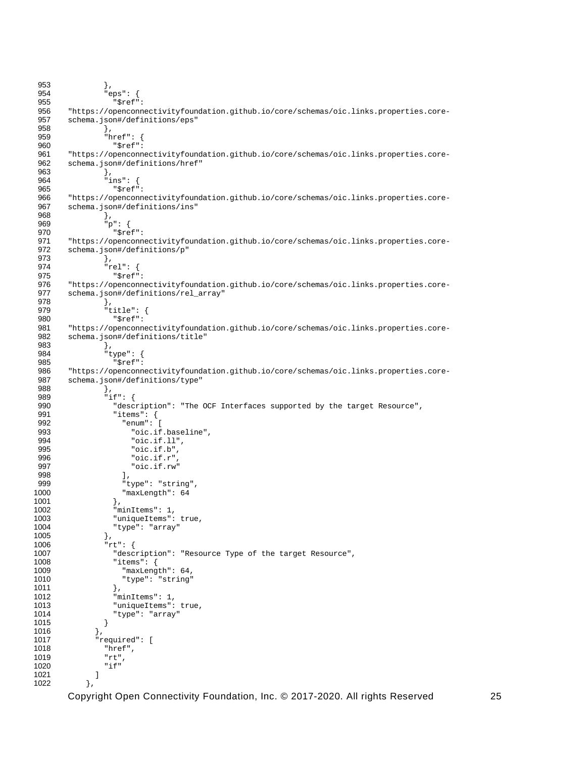```
953 },<br>954 " exp
 954 "eps": {<br>955 "Sref"
 stef":<br>1956 "https://openconn"
 956 "https://openconnectivityfoundation.github.io/core/schemas/oic.links.properties.core-<br>957 schema.json#/definitions/eps"
         schema.json#/definitions/eps"
 958 },<br>959 ^{\circ} "h
 959 "href": {
 960 "$ref":<br>961 "https://openconn
 961 "https://openconnectivityfoundation.github.io/core/schemas/oic.links.properties.core-<br>962 schema.ison#/definitions/href"
         schema.json#/definitions/href"
 963 },<br>964 \frac{1}{11}964 "ins": {
 965 "$ref":<br>966 "https://openconn
 966 "https://openconnectivityfoundation.github.io/core/schemas/oic.links.properties.core-<br>967 schema.ison#/definitions/ins"
         schema.json#/definitions/ins"<br>},
 968<br>969
 969 "p": {<br>970 "$re
 970 "$ref":<br>971 "https://openconn
 971 "https://openconnectivityfoundation.github.io/core/schemas/oic.links.properties.core-<br>972 schema.json#/definitions/p"
        schema.json#/definitions/p"<br>},
 973<br>974
 974 "rel": {
 975 "$ref":<br>976 "https://openconn
 976 "https://openconnectivityfoundation.github.io/core/schemas/oic.links.properties.core-<br>977 schema.json#/definitions/rel_array"
         schema.json#/definitions/rel_array"
 978 },
 979 "title": {
 980 "$ref":<br>981 "https://openconn
 981 "https://openconnectivityfoundation.github.io/core/schemas/oic.links.properties.core-<br>982 schema.ison#/definitions/title"
         schema.json#/definitions/title"<br>},
 983<br>984
 984 "type": {
 985 "$ref":<br>986 "https://openconn
 986 "https://openconnectivityfoundation.github.io/core/schemas/oic.links.properties.core-<br>987 schema.ison#/definitions/type"
         schema.json#/definitions/type"<br>},
 988<br>989
 989 "if": {
 990 "description": "The OCF Interfaces supported by the target Resource",<br>991 "items": {
 991 "items": {
 992 "enum": [
 993 "oic.if.baseline",<br>994 "oic.if.ll"
 994 "oic.if.ll",
 995 "oic.if.b",
 996 "oic.if.r",
                       "oic.if.rw"<br>],
998<br>999
999 "type": "string",<br>1000 "maxLength": 64
                    "\text{maxLength": } 64 },
1001<br>1002
1002 \frac{1}{2} "minItems": 1,<br>1003 \frac{1}{2} "uniqueItems":
1003 "uniqueItems": true,<br>1004 "type": "array"
                  "type": "array"<br>},
1005<br>1006
1006 "rt": {<br>1007 "desc
1007 "description": "Resource Type of the target Resource",
1008 "items": {
1009 "maxLength": 64,<br>1010 "type": "string"
                    "type": "string"<br>},
1011<br>1012
1012 "minItems": 1,<br>1013 "uniqueItems":
1013 "uniqueItems": true,<br>1014 "type": "array"
                  "type": "array"<br>}
1015<br>1016 },
1016<br>1017
1017 "required": [
1018 "href",
1019 "rt",
               if"<br>]
1021<br>1022 },
1022
```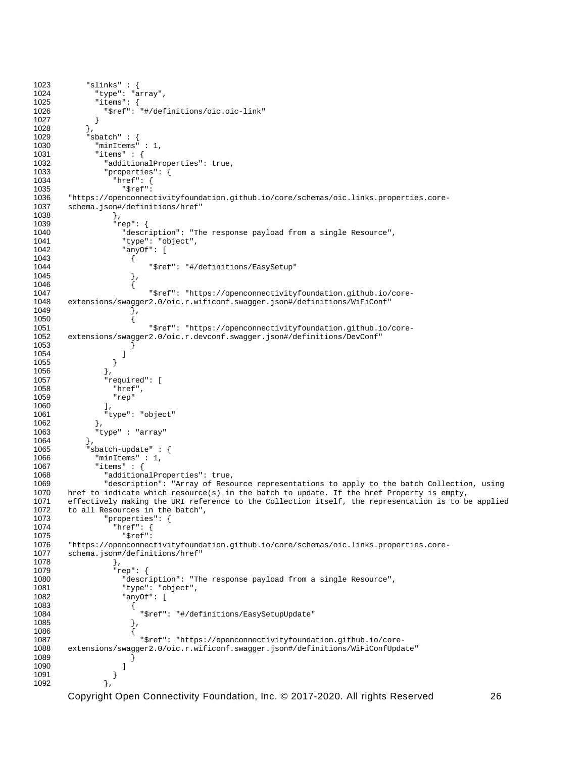```
1023 "slinks" : {<br>1024 "type": "a
1024 "type": "array",<br>1025 "items": {
1025 "items": {
               "$ref": "#/definitions/oic.oic-link"<br>}
\begin{bmatrix} 1027 & & & \ 1028 & & & \end{bmatrix}1028<br>1029
1029 "sbatch" : {
1030 "minItems" : 1,
1031 "items" : {
1032 "additionalProperties": true,<br>1033 "properties": {
1033 "properties": {
1034 "href": {
: 1035<br>1036 "https://openconnec
1036 "https://openconnectivityfoundation.github.io/core/schemas/oic.links.properties.core-<br>1037 schema.json#/definitions/href"
         schema.json#/definitions/href"<br>},
1038<br>1039
1039 "rep": {
1040 "description": "The response payload from a single Resource",
1041 "type": "object",
                      "anyOf": [
1043 {
                         "$ref": "#/definitions/EasySetup"<br>},
1045
1046<br>1047
1047 "$ref": "https://openconnectivityfoundation.github.io/core-
        extensions/swagger2.0/oic.r.wificonf.swagger.json#/definitions/WiFiConf"<br>}
1049
1050 {
1051 "$ref": "https://openconnectivityfoundation.github.io/core-<br>1052 extensions/swagger2.0/oic.r.devconf.swagger.json#/definitions/DevConf"
        1052 extensions/swagger2.0/oic.r.devconf.swagger.json#/definitions/DevConf"
1053 }<br>1054 }
1054 ]
1055 }<br>1056 },
1056<br>1057
1057 "required": [
1058 "href",<br>1059 "rep"
                  rep"<br>1.
1060<br>1061
               "type": "object"<br>},
1062<br>1063
             "type" : "array"<br>},
1064<br>1065
1065 "sbatch-update" : {
1066 "minItems" : 1,
1067 "items" : {
1068 "additionalProperties": true,<br>1069 "description": "Array of Reso
1069 "description": "Array of Resource representations to apply to the batch Collection, using<br>1070 href to indicate which resource(s) in the batch to update. If the href Property is empty,
1070 href to indicate which resource(s) in the batch to update. If the href Property is empty,<br>1071 effectively making the URI reference to the Collection itself, the representation is to b
1071 effectively making the URI reference to the Collection itself, the representation is to be applied 1072 to all Resources in the batch",
1072 to all Resources in the batch",<br>1073 "properties": {
1073 "properties": {
1074 "href": {
"1075 "$ref"<br>1076 "https://openconnec
1076 "https://openconnectivityfoundation.github.io/core/schemas/oic.links.properties.core-<br>1077 schema.json#/definitions/href"
        schema.json#/definitions/href"
1078 },
1079 "rep": {
1080 <sup>"description":</sup> "The response payload from a single Resource",<br>1081 Type": "object",
1081 "type": "object",
                       "\, \text{anyOf}": \, [
1083 {
                         "$ref": "#/definitions/EasySetupUpdate"<br>},
1085
1086<br>1087
1087 "$ref": "https://openconnectivityfoundation.github.io/core-
        1088 extensions/swagger2.0/oic.r.wificonf.swagger.json#/definitions/WiFiConfUpdate"
\begin{bmatrix} 1089 \\ 1090 \end{bmatrix}1090 ]
1091 }
1092
```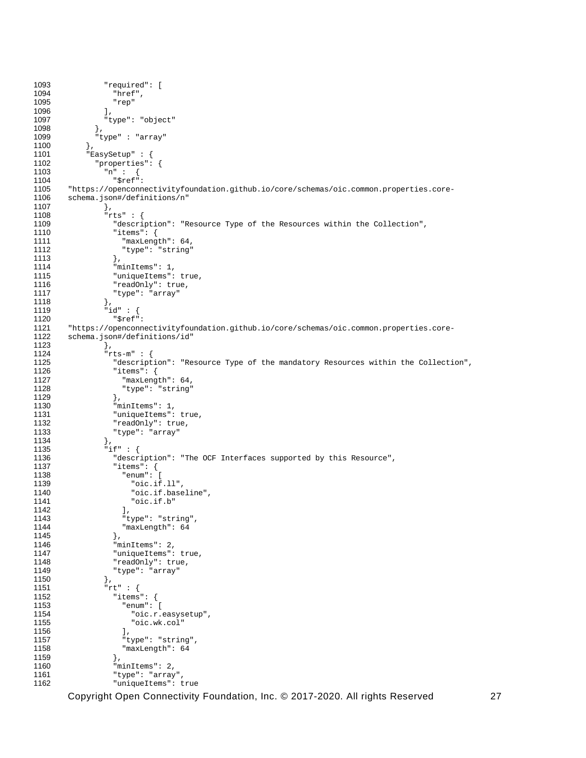```
1093 "required": [
1094 "href",<br>1095 "rep"
                   \begin{bmatrix} \text{r} & \text{r} \\ \text{r} & \text{r} \\ \text{r} & \text{r} \end{bmatrix}1096<br>1097
                 "type": "object"<br>},
1098<br>1099
               "type" : "array"<br>},
1100<br>1101
1101 "EasySetup" : {
1102 "properties": {
1103 \mathbb{r}_n \mathbb{r} : \{ 1104 \}1104 "$ref": 
1105 "https://openconnectivityfoundation.github.io/core/schemas/oic.common.properties.core-<br>1106 schema.ison#/definitions/n"
         schema.json#/definitions/n"<br>},
1107<br>1108
1108 "rts" : {
1109 "description": "Resource Type of the Resources within the Collection",
1110 "items": {
1111 "maxLength": 64,<br>1112 "type": "string"
                      "type": "string"<br>},
1113 },
1114 \overline{\ } "minItems": 1,<br>1115 \overline{\ } "uniqueItems":
1115 "uniqueItems": true,<br>1116 "readOnly": true,
1116 "readOnly": true,<br>1117 "type": "array"
                   "type": \frac{1}{1}"array"
1118<br>1119
1119 \begin{array}{ccc} \n 1119 & \text{if } 1 \text{ if } 120 \\
 \text{if } 1120\n \end{array}1120 "$ref":<br>1121 "https://openconn
1121 "https://openconnectivityfoundation.github.io/core/schemas/oic.common.properties.core-<br>1122 schema.ison#/definitions/id"
         schema.json#/definitions/id"<br>},
1123 },
1124 "rts-m" : {
1125 "description": "Resource Type of the mandatory Resources within the Collection",<br>1126 "items": {
1126 "items": {
1127 "maxLength": 64,<br>1128 "type": "string"
                      "type": "string"<br>},
1129<br>1130
1130 "minItems": 1,<br>1131 "uniqueItems":
1131 "uniqueItems": true,<br>1132 "readOnly": true.
1132 <sup>"</sup>readonly": true,<br>1133 "type": "array"
                     "type": "array"
1134 },<br>1135 \frac{1}{1}1135 "if" : {<br>1136 "descr1136 "description": "The OCF Interfaces supported by this Resource",<br>1137 "items": {
1137 "items": {
1138 "enum": [
1139 "oic.if.ll",<br>1140 "oic.if.base
1140 "oic.if.baseline",<br>1141 "oic.if.b"
                        "oic.if.b"<br>],
1142<br>1143
1143 "type": "string",
                      "maxLength": 641145<br>1146
1146 "minItems": 2,<br>1147 "uniqueItems":
1147 \frac{1}{48} "uniqueItems": true,<br>1148 \frac{1}{48} "readOnly": true.
1148 "readOnly": true,<br>1149 "type": "array"
                   "type": "array"<br>},
1150<br>1151
1151 "rt" : {
1152 "items": {
1153 "enum": [
1154 "oic.r.easysetup",<br>1155 "oic.wk.col"
                        "oic.wk.col"<br>],
1156<br>1157
1157 "type": "string",
                      \begin{array}{l} \texttt{"maxLength"}: \texttt{ 64} \\ \end{array}1159<br>1160
1160 "minItems": 2,<br>1161 "type": "array
1161 "type": "array",
                      "uniqueItems": true
```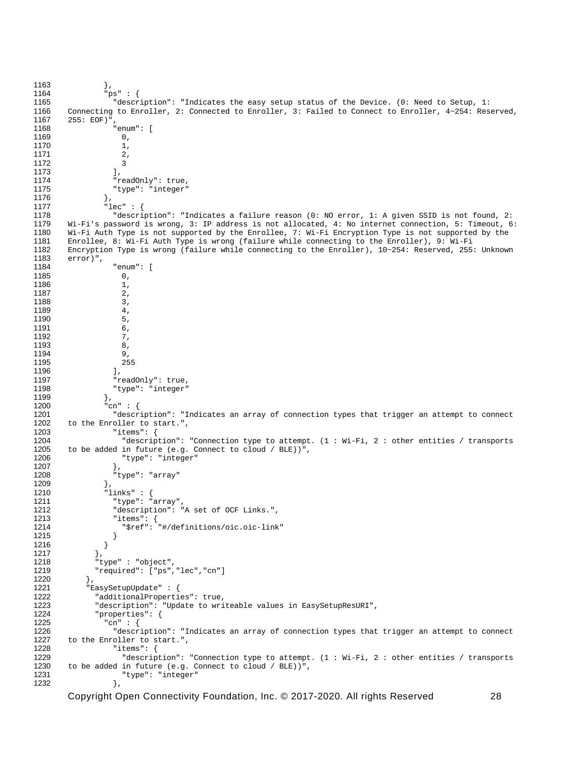```
1163 },<br>1164 "pr
1164 "ps" : {
1165 "description": "Indicates the easy setup status of the Device. (0: Need to Setup, 1: 
1166 Connecting to Enroller, 2: Connected to Enroller, 3: Failed to Connect to Enroller, 4 \sim 254: Reserved, 1167 255: EOF)",
1167 255: EOF)",
                     "enum": [<br>0,
1169 0,<br>1170 1,
1170 1,<br>1171 2,1171 2<br>1172 3
1172 3<br>1173 1,
1173<br>1174
1174 "readOnly": true,<br>1175 "type": "integer"
                  "type": "integer"<br>},
1176<br>1177
1177 "lec" : {
1178 "description": "Indicates a failure reason (0: NO error, 1: A given SSID is not found, 2: 
1179 Wi-Fi's password is wrong, 3: IP address is not allocated, 4: No internet connection, 5: Timeout, 6:<br>1180 Wi-Fi Auth Type is not supported by the Enrollee, 7: Wi-Fi Encryption Type is not supported by the
1180 Wi-Fi Auth Type is not supported by the Enrollee, 7: Wi-Fi Encryption Type is not supported by the 1181 Enrollee, 8: Wi-Fi Auth Type is wrong (failure while connecting to the Enroller), 9: Wi-Fi
1181 Enrollee, 8: Wi-Fi Auth Type is wrong (failure while connecting to the Enroller), 9: Wi-Fi 
1182 Encryption Type is wrong (failure while connecting to the Enroller), 10~254: Reserved, 255: Unknown<br>1183 error)".
1183 error)",
                     "enum": [<br>0,
1185 0,
1186 1,<br>1187 2,
1187 2,<br>1188 3,
1188 3,
1189 4, 4<br>1190 5
1190 5,<br>1191 6,
1191 6,
1192 7,<br>1193 8,
1193 8,
1194 9,
1195 255
1196<br>1197
1197 "readOnly": true,<br>1198 "type": "integer"
                  "type": "integer"<br>},
1199<br>1200
1200 "cn" : {<br>1201 "descr
1201 "description": "Indicates an array of connection types that trigger an attempt to connect<br>1202 to the Enroller to start "
1202 to the Enroller to start.",<br>1203 "items": {
1203 "items": {
1204 "description": "Connection type to attempt. (1 : Wi-Fi, 2 : other entities / transports 1205 to be added in future (e.g. Connect to cloud / BLE))",
1205 to be added in future (e.g. Connect to cloud / BLE))",<br>1206 * "type": "integer"
                    "type": "integer"<br>},
1207<br>1208
                  "type": "array"<br>},
1209<br>1210
1210 \frac{1}{211} "links" : {<br>1211 \frac{1}{211} "type": "
1211 "type": "array",<br>1212 "description": "
1212 "description": "A set of OCF Links.",<br>1213 "items": {
1213 "items": {
                    "$ref": "#/definitions/oic.oic-link"<br>}
1215 }
\begin{array}{c} 1216 \\ 1217 \end{array}1217<br>1218
1218 "type" : "object",
                "required": ["ps","lec","cn"]
1220<br>1221
1221 "EasySetupUpdate" : {
1222 "additionalProperties": true,
1223 "description": "Update to writeable values in EasySetupResURI",<br>1224 "properties": {
1224 "properties": {<br>1225 \frac{1}{2}"cn" : {
1225 "cn" : {<br>1226 "descr
1226 "description": "Indicates an array of connection types that trigger an attempt to connect<br>1227 to the Enroller to start.".
1227 to the Enroller to start.",<br>1228 "items": {
1228 "items": {
1229 "description": "Connection type to attempt. (1 : Wi-Fi, 2 : other entities / transports 1230 to be added in future (e.g. Connect to cloud / BLE))",
1230 to be added in future (e.g. Connect to cloud / BLE))", 1231 "type": "integer"
                     "type": "integer"<br>},
1232
```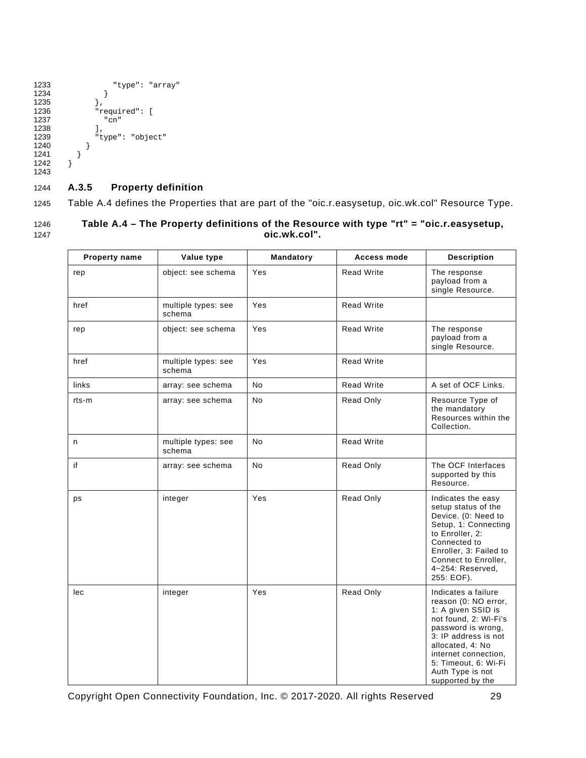```
1233 "type": "array"
\begin{array}{c} 1234 \\ 1235 \end{array} },
\frac{1235}{1236}1236 "required": [
                "cn"<br>],
1238<br>1239
              "type": "object"<br>}
1240 }
         \}1242 }
1243
```
## <span id="page-34-0"></span>1244 **A.3.5 Property definition**

1245 [Table A.4](#page-34-1) defines the Properties that are part of the "oic.r.easysetup, oic.wk.col" Resource Type.

<span id="page-34-1"></span>

| 1246 | Table A.4 – The Property definitions of the Resource with type "rt" = "oic.r.easysetup, |
|------|-----------------------------------------------------------------------------------------|
| 1247 | oic.wk.col".                                                                            |

| <b>Property name</b> | Value type                    | Mandatory | <b>Access mode</b> | <b>Description</b>                                                                                                                                                                                                                                   |
|----------------------|-------------------------------|-----------|--------------------|------------------------------------------------------------------------------------------------------------------------------------------------------------------------------------------------------------------------------------------------------|
| rep                  | object: see schema            | Yes       | <b>Read Write</b>  | The response<br>payload from a<br>single Resource.                                                                                                                                                                                                   |
| href                 | multiple types: see<br>schema | Yes       | <b>Read Write</b>  |                                                                                                                                                                                                                                                      |
| rep                  | object: see schema            | Yes       | <b>Read Write</b>  | The response<br>payload from a<br>single Resource.                                                                                                                                                                                                   |
| href                 | multiple types: see<br>schema | Yes       | <b>Read Write</b>  |                                                                                                                                                                                                                                                      |
| links                | array: see schema             | No        | <b>Read Write</b>  | A set of OCF Links.                                                                                                                                                                                                                                  |
| rts-m                | array: see schema             | No.       | Read Only          | Resource Type of<br>the mandatory<br>Resources within the<br>Collection.                                                                                                                                                                             |
| n                    | multiple types: see<br>schema | <b>No</b> | <b>Read Write</b>  |                                                                                                                                                                                                                                                      |
| if                   | array: see schema             | <b>No</b> | Read Only          | The OCF Interfaces<br>supported by this<br>Resource.                                                                                                                                                                                                 |
| ps                   | integer                       | Yes       | Read Only          | Indicates the easy<br>setup status of the<br>Device. (0: Need to<br>Setup, 1: Connecting<br>to Enroller, 2:<br>Connected to<br>Enroller, 3: Failed to<br>Connect to Enroller,<br>4~254: Reserved,<br>255: EOF).                                      |
| lec                  | integer                       | Yes       | Read Only          | Indicates a failure<br>reason (0: NO error,<br>1: A given SSID is<br>not found, 2: Wi-Fi's<br>password is wrong,<br>3: IP address is not<br>allocated, 4: No<br>internet connection,<br>5: Timeout, 6: Wi-Fi<br>Auth Type is not<br>supported by the |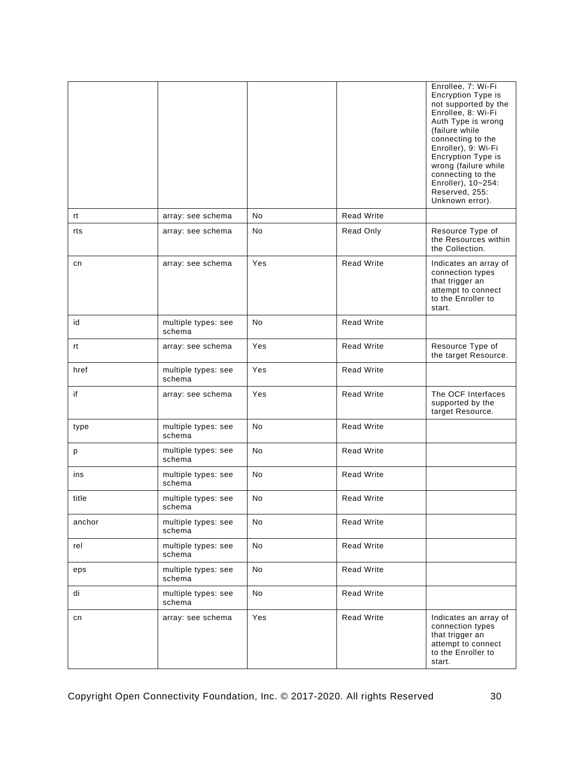|        |                               |     |                   | Enrollee, 7: Wi-Fi<br>Encryption Type is<br>not supported by the<br>Enrollee, 8: Wi-Fi<br>Auth Type is wrong<br>(failure while<br>connecting to the<br>Enroller), 9: Wi-Fi<br>Encryption Type is<br>wrong (failure while<br>connecting to the<br>Enroller), 10~254:<br>Reserved, 255:<br>Unknown error). |
|--------|-------------------------------|-----|-------------------|----------------------------------------------------------------------------------------------------------------------------------------------------------------------------------------------------------------------------------------------------------------------------------------------------------|
| rt     | array: see schema             | No  | <b>Read Write</b> |                                                                                                                                                                                                                                                                                                          |
| rts    | array: see schema             | No  | Read Only         | Resource Type of<br>the Resources within<br>the Collection.                                                                                                                                                                                                                                              |
| cn     | array: see schema             | Yes | <b>Read Write</b> | Indicates an array of<br>connection types<br>that trigger an<br>attempt to connect<br>to the Enroller to<br>start.                                                                                                                                                                                       |
| id     | multiple types: see<br>schema | No. | <b>Read Write</b> |                                                                                                                                                                                                                                                                                                          |
| rt     | array: see schema             | Yes | <b>Read Write</b> | Resource Type of<br>the target Resource.                                                                                                                                                                                                                                                                 |
| href   | multiple types: see<br>schema | Yes | <b>Read Write</b> |                                                                                                                                                                                                                                                                                                          |
| if     | array: see schema             | Yes | <b>Read Write</b> | The OCF Interfaces<br>supported by the<br>target Resource.                                                                                                                                                                                                                                               |
| type   | multiple types: see<br>schema | No  | <b>Read Write</b> |                                                                                                                                                                                                                                                                                                          |
| p      | multiple types: see<br>schema | No  | <b>Read Write</b> |                                                                                                                                                                                                                                                                                                          |
| ins    | multiple types: see<br>schema | No. | Read Write        |                                                                                                                                                                                                                                                                                                          |
| title  | multiple types: see<br>schema | No. | <b>Read Write</b> |                                                                                                                                                                                                                                                                                                          |
| anchor | multiple types: see<br>schema | No  | <b>Read Write</b> |                                                                                                                                                                                                                                                                                                          |
| rel    | multiple types: see<br>schema | No  | <b>Read Write</b> |                                                                                                                                                                                                                                                                                                          |
| eps    | multiple types: see<br>schema | No  | Read Write        |                                                                                                                                                                                                                                                                                                          |
| di     | multiple types: see<br>schema | No  | Read Write        |                                                                                                                                                                                                                                                                                                          |
| cn     | array: see schema             | Yes | <b>Read Write</b> | Indicates an array of<br>connection types<br>that trigger an<br>attempt to connect<br>to the Enroller to<br>start.                                                                                                                                                                                       |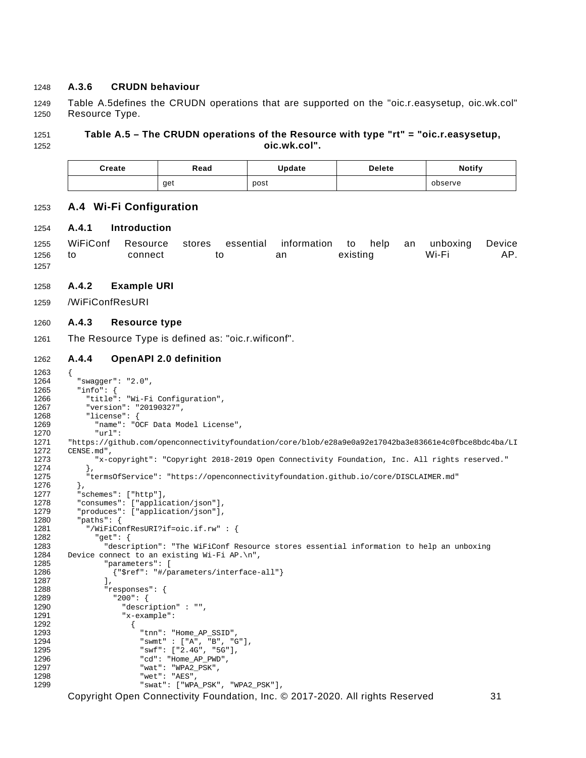#### <span id="page-36-0"></span>1248 **A.3.6 CRUDN behaviour**

1249 [Table A.5d](#page-36-6)efines the CRUDN operations that are supported on the "oic.r.easysetup, oic.wk.col" 1250 Resource Type.

#### 1251 **Table A.5 – The CRUDN operations of the Resource with type "rt" = "oic.r.easysetup,**  1252 **oic.wk.col".**

<span id="page-36-6"></span><span id="page-36-1"></span>

| Create | Read | Update | <b>Delete</b> | <b>Notify</b> |
|--------|------|--------|---------------|---------------|
|        | get  | post   |               | observe       |

#### 1253 **A.4 Wi-Fi Configuration**

#### <span id="page-36-2"></span>1254 **A.4.1 Introduction**

1255 WiFiConf Resource stores essential information to help an unboxing Device 1256 to connect to an existing Wi-Fi AP. 1257

#### <span id="page-36-3"></span>1258 **A.4.2 Example URI**

#### 1259 /WiFiConfResURI

#### <span id="page-36-4"></span>1260 **A.4.3 Resource type**

1261 The Resource Type is defined as: "oic.r.wificonf".

#### <span id="page-36-5"></span>1262 **A.4.4 OpenAPI 2.0 definition**

```
1263 {<br>1264
1264 "swagger": "2.0",
1265 "info": {
1266 "title": "Wi-Fi Configuration",<br>1267 "version": "20190327",
1267 "version": "20190327",
1268 "license": {
1269 "name": "OCF Data Model License",<br>1270 "url":
1270 "url": 
1271 "https://github.com/openconnectivityfoundation/core/blob/e28a9e0a92e17042ba3e83661e4c0fbce8bdc4ba/LI<br>1272 CENSE.md".
1272 CENSE.md",<br>1273 "x-c
             "x-copyright": "Copyright 2018-2019 Open Connectivity Foundation, Inc. All rights reserved."<br>},
1274<br>1275
          1275 "termsOfService": "https://openconnectivityfoundation.github.io/core/DISCLAIMER.md"
1276<br>1277
1277 "schemes": ["http"],<br>1278 "consumes": ["applic
1278 "consumes": ["application/json"],<br>1279 "produces": ["application/ison"]
1279  "produces": ["application/json"],<br>1280  "paths": {
1280 \frac{1280}{1281} "paths": {
1281 "/WiFiConfResURI?if=oic.if.rw" : {<br>1282 "get": {
1282 "get": {
1283 "description": "The WiFiConf Resource stores essential information to help an unboxing<br>1284 Device connect to an existing Wi-Fi AP.\n",
1284 Device connect to an existing Wi-Fi AP.\n \begin{bmatrix}\n 1285\n \end{bmatrix} "parameters": [
1285 "parameters": [<br>1286 ["Sref": "#/p
                 {"$ref": "#/parameters/interface-all"}<br>],
1287<br>1288
1288 "responses": {
1289 "200": {
1290 "description" : "",<br>1291 Tx-example":
                      "x-example":
1292 {
1293 "tnn": "Home_AP_SSID",
1294 "swmt" : ["A", "B", "G"],
1295 "swf": ['2.4G", "SG"],<br>1296 "cd": "Home\_AP\_PWD",1296 "cd": "Home_AP_PWD",
1297 "wat": "WPA2_PSK",
1298 "wet": "AES",
                          "swat": ["WPA_PSK", "WPA2_PSK"],
```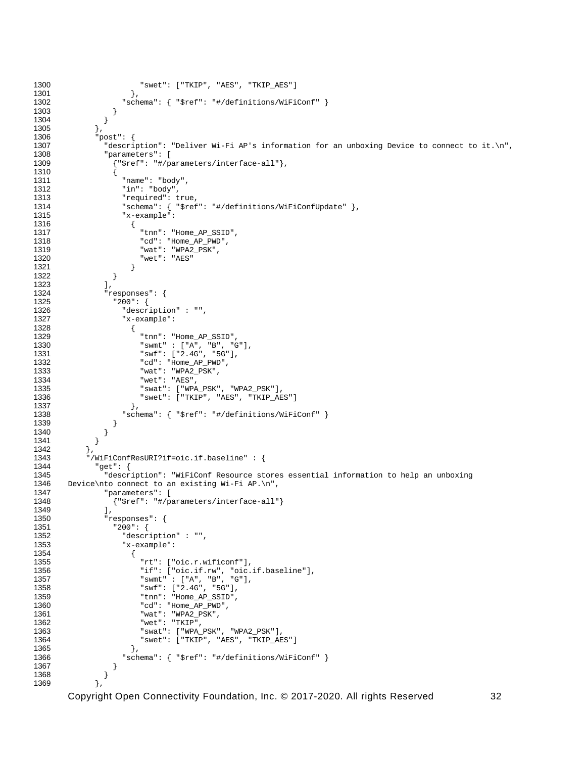```
1300 "swet": ["TKIP", "AES", "TKIP_AES"]
1301<br>1302
                \hspace*{1.5cm} \hspace*{1.5cm} \texttt{Schema": } \{\hspace*{1.5mm} \verb!"Sref": \verb!" "#/definitions/WiFiConf" } \}1303<br>1304 }
\begin{array}{cc} 1304 & & \end{array}<br>1305 },
1305<br>1306
1306 "post": {
1307 "description": "Deliver Wi-Fi AP's information for an unboxing Device to connect to it.\n",
1308 "parameters": [<br>1309 {"Sref": "#/pa
                 1309 {"$ref": "#/parameters/interface-all"},
1310 {
1311 (1312 Thame": "body",<br>1312 Tin": "body",
1312 "in": "body",
1313 "required": true,<br>1314 "schema": { "$ref
1314 \blacksquare schema": { \blacksquare$ref": \blacksquare#/definitions/WiFiConfUpdate" },<br>1315 \blacksquare x-example":
                  "x-example":<br>{
1316 {
1317 "tnn": "Home_AP_SSID",
1318 "cd": "Home_AP_PWD",
1319 "wat": "WPA2_PSK",
                    "wet": "AES"<br>}
1321 }
1322 }
1323<br>1324
1324 "responses": {
1325 "200": {
1326 "description" : "",<br>1327 "x-example":
                   "x-example":<br>{
1328 {
1329 "tnn": "Home_AP_SSID",
1330 "swmt" : ["A", "B", "G"],
1331 "swf": ["2.4G", "5G"],
1332 "cd": "Home_AP_PWD",
1333 "wat": "WPA2_PSK",
1334 "wet": "AES",<br>1335 "swat": ["WPI
1335 "swat": ["WPA_PSK", "WPA2_PSK"],
                    "swe": ["TKIP", "AES", "TKIP_AES"]
1337<br>1338
                1338 "schema": { "$ref": "#/definitions/WiFiConf" }
1339<br>1340 }
1340<br>1341 }
1341 }
1342<br>1343
1343 "/WiFiConfResURI?if=oic.if.baseline" : {
1344 "get": {
1345 "description": "WiFiConf Resource stores essential information to help an unboxing<br>1346 Device\nto connect to an existing Wi-Fi AP.\n".
1346 Device\nto connect to an existing Wi-Fi AP.\n",<br>1347 Tparameters": [
1347 "parameters": [<br>1348 {"$ref": "#/pa
               1348 {"$ref": "#/parameters/interface-all"}
1349<br>1350
1350 "responses": {
1351 "200": {
1352 "description" : "",<br>1353 "x-example":
                   "x-example":
1354 {
1355 "rt": ["oic.r.wificonf"],
1356 "if": ["oic.if.rw", "oic.if.baseline"],
1357 "swmt" : ["A", "B", "G"],
1358 "swf": ["2.4G", "5G"],
1359 "tnn": "Home_AP_SSID",
1360 "cd": "Home_AP_PWD",
1361 "wat": "WPA2_PSK",
1362 "wet": "TKIP",
1363 "swat": ["WPA_PSK", "WPA2_PSK"],
                    "swet": ["TKIP", "AES", "TKIP_AES"]<br>},
1365<br>1366
                1366 "schema": { "$ref": "#/definitions/WiFiConf" }
1367<br>1368 }
1368 }
1369
```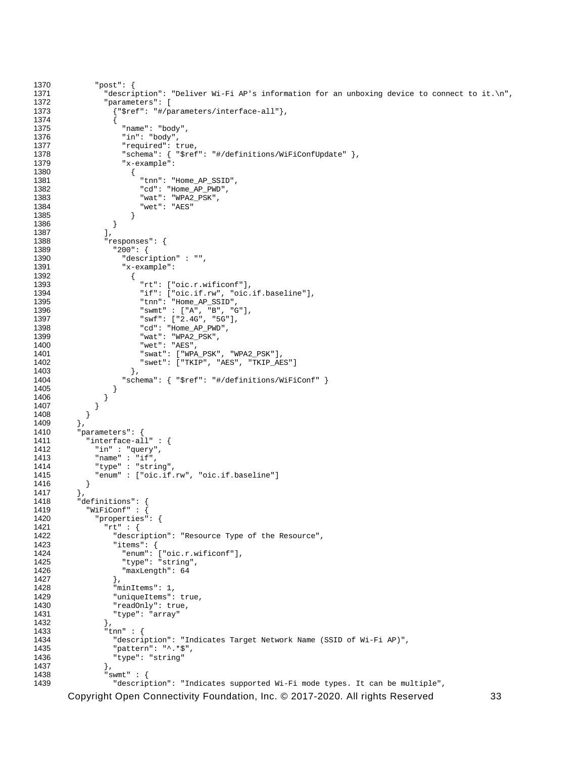```
1370 "post": {
1371 "description": "Deliver Wi-Fi AP's information for an unboxing device to connect to it.\n",<br>1372 "parameters": [
1372 "parameters": [
                  1373 {"$ref": "#/parameters/interface-all"},
1374 {
1375 "name": "body",
1376 "in": "body",
1377 "required": true,<br>1378 "schema": { "$ref
1378 "schema": { "$ref": "#/definitions/WiFiConfUpdate" },
                    "x-example":<br>{
1380 {
1381 "tnn": "Home_AP_SSID",
1382 "cd": "Home_AP_PWD",
1383 "wat": "WPA2_PSK",
                     "wet": "AES"<br>}
1385 }
1386 }
1387<br>1388
1388 "responses": {
1389 "200": {
1390 "description" : "",<br>1391 "x-example":
                    "x-example":<br>{
1392 {
1393 "rt": ["oic.r.wificonf"],<br>1394 "if": ["oic.if.rw", "oic.
1394 "if": ["oic.if.rw", "oic.if.baseline"],
1395 "tnn": "Home_AP_SSID",
1396 "swmt" : ["A", "B", "G"],
1397 "swf": ["2.4G", "5G"],
1398 "cd": "Home_AP_PWD",
1399 "wat": "WPA2_PSK",
1400 "wet": "AES",
1401 "swat": ["WPA_PSK", "WPA2_PSK"],
                      "swet": ["TKIP", "AES", "TKIP_AES"]<br>},
1403<br>1404
                  \hspace*{1.5cm} \left. \begin{array}{l} \texttt{``Sref":} \texttt{``\#/definitions/WiFiConf" } \end{array} \right\}1405<br>1406 }
1406<br>1407 }
1407<br>1408 }
\begin{bmatrix} 1408 \\ 1409 \end{bmatrix}1409<br>1410
1410 \frac{1410}{2} "parameters": {
1411 "interface-all" : {
1412 "in" : "query",
1413<br>1414 "name" : "if",<br>1414 "type" : "stri
1414 "type" : "string",
           "enum" : ["oic.if.rw", "oic.if.baseline"]<br>}
1416 }<br>1417 },
1417<br>1418
1418 "definitions": {
1419 <br>
1420 "WiFiConf" : {<br>
1420 "properties"
1420 "properties": {
1421 "rt" : {
1422 "description": "Resource Type of the Resource",<br>1423 "items": {
1423 "items": {
1424 "enum": ["oic.r.wificonf"],<br>1425 "type": "string".
1425 "type": "string",
1426 "maxLength": 64<br>1427 }
1427 },<br>1428        "mi
1428 \overline{\text{minItems}}": 1,<br>1429 \overline{\text{miniquel terms}}"
1429 "uniqueItems": true,<br>1430 "readOnly": true,
1430 "readOnly": true,<br>1431 "type": "array"
                "type": \frac{1}{3}array"<br>},
1432<br>1433
1433 \frac{1}{2} tnn" : {<br>1434 \frac{1}{2} descrip
1434 "description": "Indicates Target Network Name (SSID of Wi-Fi AP)",<br>1435               "pattern": "^.*$",
1435 "pattern": "^.*$",<br>1436 "type": "string"
                "type": "string"<br>},
1437 },
1438 "swmt" : {
                  "description": "Indicates supported Wi-Fi mode types. It can be multiple",
```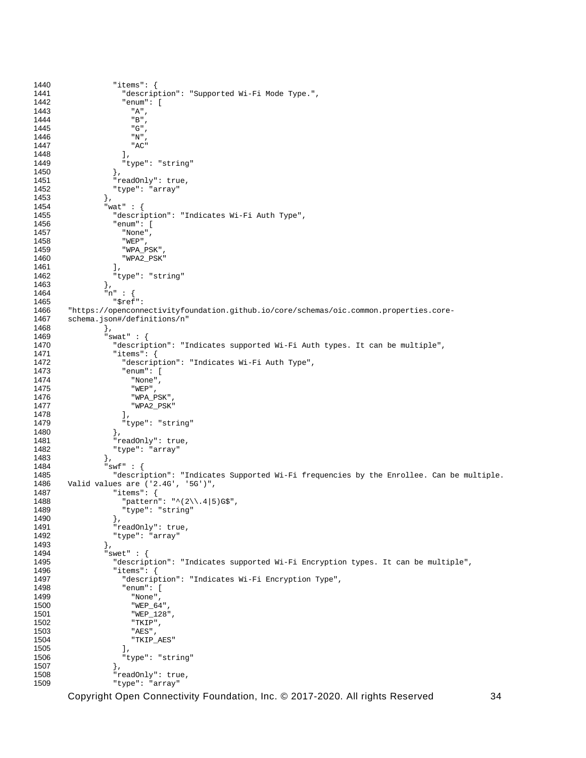```
1440 "items": {
1441 "description": "Supported Wi-Fi Mode Type.",
1442 "enum": [
1443 "A",<br>1444 "B",
1444 "B",
1445 "G",<br>1446 "N",
1446 "N",<br>1447 "AC"
                   "AC"<br>],
1448<br>1449
                 "type": "string"<br>},
1450<br>1451
1451 "readOnly": true,
               "type": "array"<br>},
1453 },
1454 "wat" : {
1455 "description": "Indicates Wi-Fi Auth Type",
1456 "enum": [
1457 "None",
1458 "WEP",<br>1459 "WPA_P
1459 "WPA_PSK",
                 "WPA2_PSK"<br>1,
1461<br>1462
               "type": "string"<br>},
1463<br>1464
1464 \text{m}^{\text{m}} : {<br>1465 \text{m}^{\text{m}} : {
1465 "$ref": 
1466 "https://openconnectivityfoundation.github.io/core/schemas/oic.common.properties.core-<br>1467 schema.ison#/definitions/n"
       schema.json#/definitions/n"
1468 },<br>1469 "s
1469 "swat" : {
1470 "description": "Indicates supported Wi-Fi Auth types. It can be multiple",
1471 "items": {
1472 "description": "Indicates Wi-Fi Auth Type",
1473 "enum": [
1474 "None",
1475 "WEP",
1476 "WPA_PSK",
                   "WPA2_PSK"1478<br>1479
                 "type": "string"<br>},
1480<br>1481
1481 "readOnly": true,<br>1482 "type": "array"
               "type": "array"<br>},
1483<br>1484
1484 "swf" : {
1485 "description": "Indicates Supported Wi-Fi frequencies by the Enrollee. Can be multiple.<br>1486 Valid values are ('2.4G', '5G')",
1486 Valid values are ('2.4G', '5G')",
1487 "items": {
1488 "pattern": "^(2\\.4|5)G$",<br>1489 "type": "string"
                 "type": "string"<br>},
1490<br>1491
1491                      "readOnly": true,<br>1492                   "type": "array"
               "type": "array"<br>},
1493<br>1494
1494 "swet" : {
1495              "description": "Indicates supported Wi-Fi Encryption types. It can be multiple",<br>1496                  "items": {
1496 "items": {
1497 "description": "Indicates Wi-Fi Encryption Type",
1498 "enum": [
1499 "None",
1500 "WEP_64"<br>1501 "WEP_128
1501 "WEP_128",<br>1502 "TKIP"
1502 "TKIP",<br>1503 "AES",
1503 "AES",<br>1504 "TKIP"
                   "TKIP_AES"<br>],
1505<br>1506
                  "type": "string"<br>},
1507 },
1508 "readOnly": true,<br>1509 "type": "array"
                  "type": "array"
```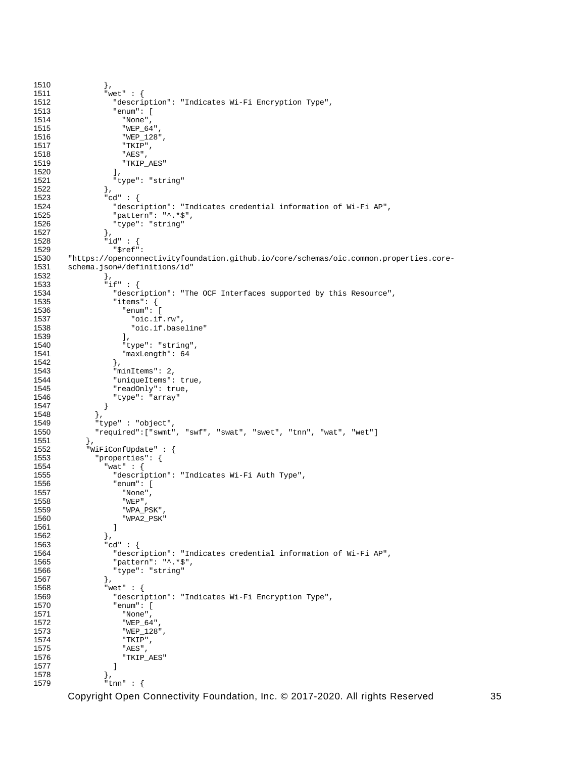```
1510 },<br>1511 \frac{1}{100} \frac{1}{100}1511 "wet" : {
1512 "description": "Indicates Wi-Fi Encryption Type",
1513 "enum": [
1514 "None",
1515 "WEP_64",<br>1516 "WEP 128'
1516 "WEP_128",<br>1517 "TKIP",
1517 "TKIP",<br>1518 "AES",
1518 "AES",<br>1519 "TKIP
                   "TKIP_AES"<br>],
1520<br>1521
                 "type": "string"<br>},
1522<br>1523
1523 \text{"cd" :} \{<br>1524 \text{"descr.}1524 "description": "Indicates credential information of Wi-Fi AP",<br>1525 "pattern": "^.*$",
1525 "pattern": "^.*$",<br>1526 "type": "string"
                   "type": "string"
1527 },<br>1528 \frac{1}{10}1528 \begin{array}{ccc} \text{1528} \\ \text{1529} \end{array} \begin{array}{ccc} \text{131} \\ \text{162} \end{array}:
1529 "$ref": 
1530 "https://openconnectivityfoundation.github.io/core/schemas/oic.common.properties.core-
        schema.json#/definitions/id"<br>},
1532<br>1533
1533 ^{\circ} if" : {<br>1534 ^{\circ} descr
1534 "description": "The OCF Interfaces supported by this Resource",<br>1535 "items": {
1535 "items": {
1536 "enum": [
1537 "oic.if.rw",<br>1538 "oic.if.base
                     "oic.if.baseline"<br>],
1539<br>1540
1540 "type": "string",
                   "maxLength": 64},
1542<br>1543
1543 minItems": 2,<br>1544 "uniqueItems":
1544 "uniqueItems": true,<br>1545 "readOnly": true,
1545 "readOnly": true,
                "type": "array"<br>}
1547 }<br>1548 },
1548<br>1549
1549 "type" : "object",
             \texttt{``required":} [\texttt{``swmt",\texttt{``swf",\texttt{``swat",\texttt{``swet",\texttt{``tnn",\texttt{``wat",\texttt{``wet"}}$}}},1551 },
1552 "WiFiConfUpdate" : {<br>1553 "properties": {
1553 "properties": {
1554 "wat" : {
1555 "description": "Indicates Wi-Fi Auth Type",
1556 "enum": [
1557 "None",<br>1558 "WEP",
1558 "WEP",<br>1559 "WPA_P
1559 "WPA_PSK",
                   "WPA2_PSK"<br>]
1561 ]<br>1562 },
1562<br>1563
1563 "cd" : {<br>1564 "descr
1564 "description": "Indicates credential information of Wi-Fi AP",<br>1565 "pattern": "^.*$",
1565 "pattern": "^.*$",<br>1566 "type": "string"
                 "type": "string"<br>},
1567<br>1568
1568 "wet" : {
1569 "description": "Indicates Wi-Fi Encryption Type",
1570 "enum": [
1571 "None",<br>1572 "WEP 64
1572 "WEP_64",
1573 "WEP_128",<br>1574 "TKIP",
1574 "TKIP",<br>1575 "AES",
1575 "AES",<br>1576 "TKIP
                   "TKIP_AES"<br>]
1577 ]<br>1578 },
1578<br>1579
                  "tnn" : {
```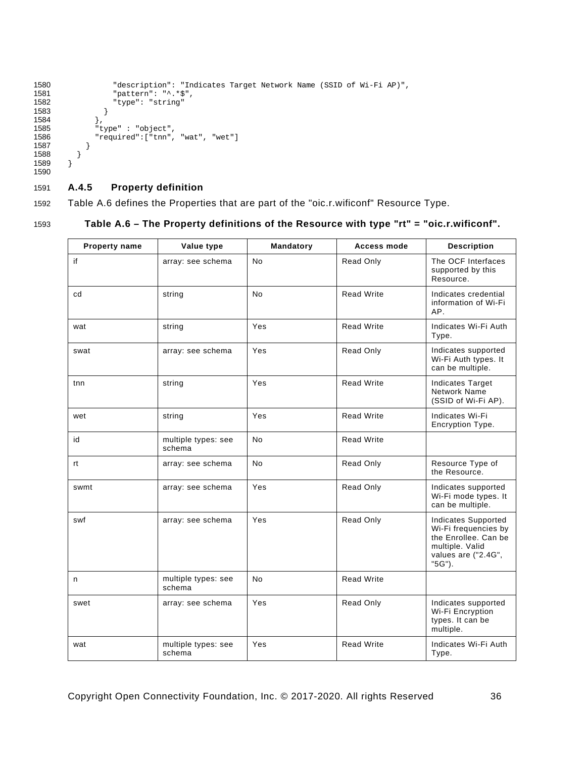```
1580             "description": "Indicates Target Network Name (SSID of Wi-Fi AP)",<br>1581               "pattern": "^.*$",
1581 "pattern": "^.*$",<br>1582 "type": "string"
                   "type": "string"<br>}
\begin{array}{c} 1583 \\ 1584 \end{array} },
1584<br>1585
1585 "type" : "object",
1586 "required":["tnn", "wat", "wet"]
1587 }<br>1588 }
         \}1589 }
1590
```
#### <span id="page-41-0"></span>1591 **A.4.5 Property definition**

1592 [Table A.6](#page-41-1) defines the Properties that are part of the "oic.r.wificonf" Resource Type.

#### 1593 **Table A.6 – The Property definitions of the Resource with type "rt" = "oic.r.wificonf".**

<span id="page-41-1"></span>

| Property name | Value type                    | Mandatory      | <b>Access mode</b> | <b>Description</b>                                                                                                      |
|---------------|-------------------------------|----------------|--------------------|-------------------------------------------------------------------------------------------------------------------------|
| if            | array: see schema             | No             | Read Only          | The OCF Interfaces<br>supported by this<br>Resource.                                                                    |
| cd            | string                        | N <sub>o</sub> | <b>Read Write</b>  | Indicates credential<br>information of Wi-Fi<br>AP.                                                                     |
| wat           | string                        | Yes            | <b>Read Write</b>  | Indicates Wi-Fi Auth<br>Type.                                                                                           |
| swat          | array: see schema             | Yes            | Read Only          | Indicates supported<br>Wi-Fi Auth types. It<br>can be multiple.                                                         |
| tnn           | string                        | Yes            | <b>Read Write</b>  | <b>Indicates Target</b><br>Network Name<br>(SSID of Wi-Fi AP).                                                          |
| wet           | string                        | Yes            | <b>Read Write</b>  | Indicates Wi-Fi<br>Encryption Type.                                                                                     |
| id            | multiple types: see<br>schema | No.            | <b>Read Write</b>  |                                                                                                                         |
| rt            | array: see schema             | No.            | Read Only          | Resource Type of<br>the Resource.                                                                                       |
| swmt          | array: see schema             | Yes            | Read Only          | Indicates supported<br>Wi-Fi mode types. It<br>can be multiple.                                                         |
| swf           | array: see schema             | Yes            | Read Only          | Indicates Supported<br>Wi-Fi frequencies by<br>the Enrollee. Can be<br>multiple. Valid<br>values are ("2.4G",<br>"5G"). |
| n             | multiple types: see<br>schema | No             | <b>Read Write</b>  |                                                                                                                         |
| swet          | array: see schema             | Yes            | Read Only          | Indicates supported<br>Wi-Fi Encryption<br>types. It can be<br>multiple.                                                |
| wat           | multiple types: see<br>schema | Yes            | <b>Read Write</b>  | Indicates Wi-Fi Auth<br>Type.                                                                                           |